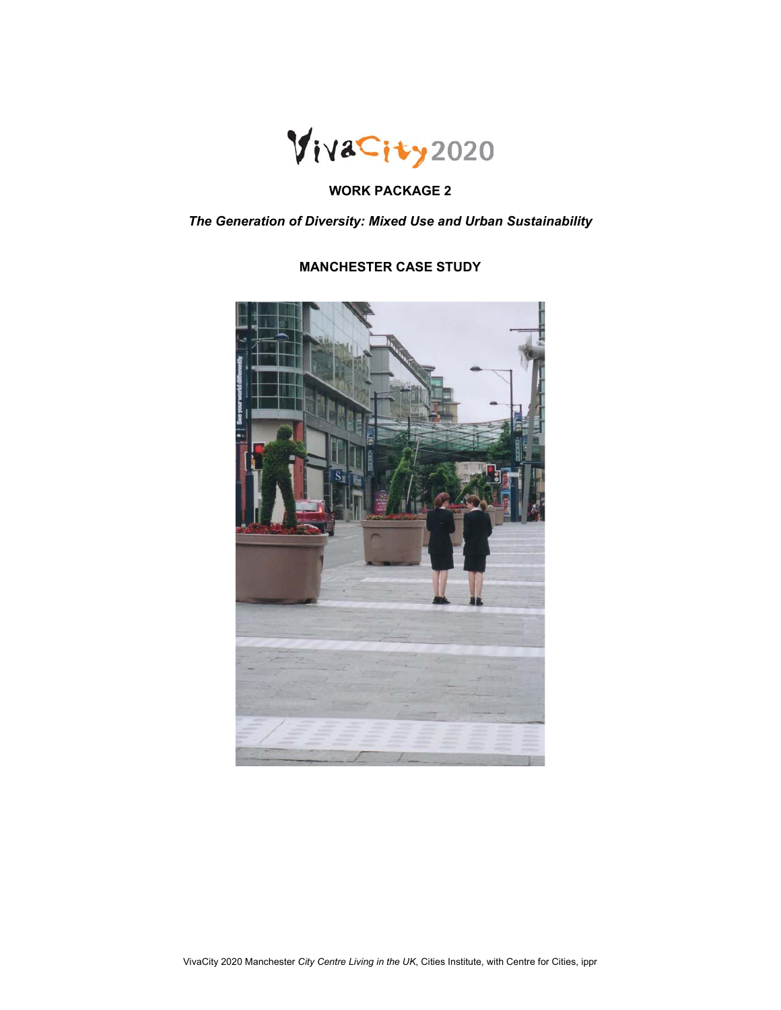

# **WORK PACKAGE 2**

*The Generation of Diversity: Mixed Use and Urban Sustainability* 

# **MANCHESTER CASE STUDY**

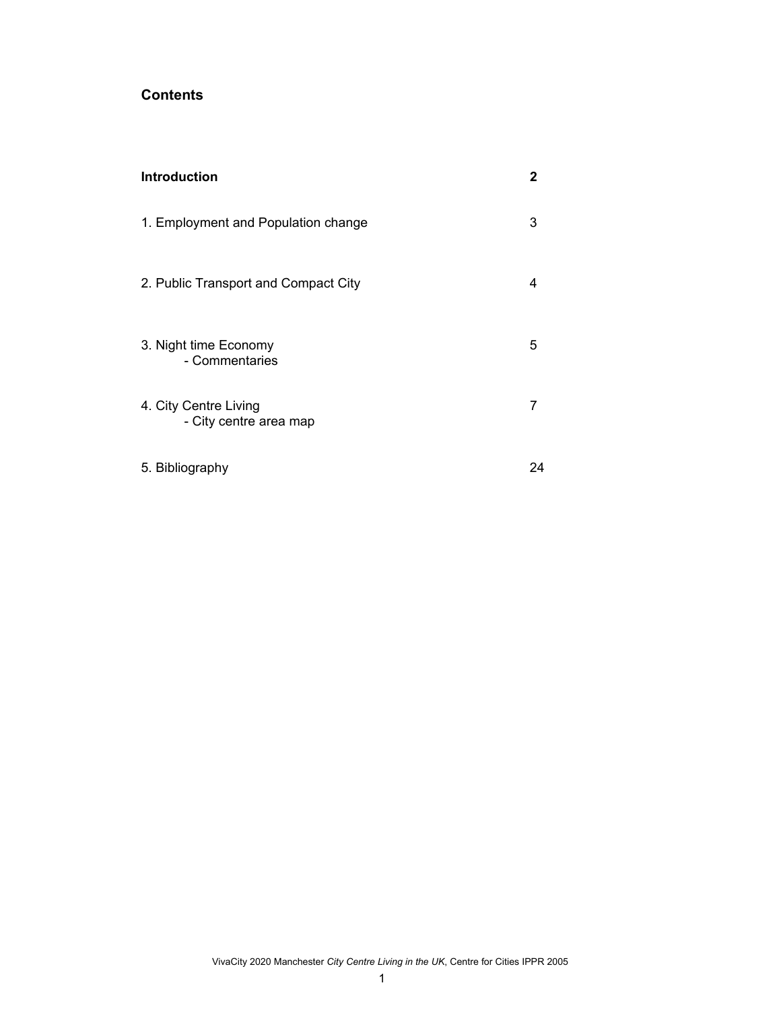# **Contents**

| <b>Introduction</b>                             | 2  |
|-------------------------------------------------|----|
| 1. Employment and Population change             | 3  |
| 2. Public Transport and Compact City            | 4  |
| 3. Night time Economy<br>- Commentaries         | 5  |
| 4. City Centre Living<br>- City centre area map |    |
| 5. Bibliography                                 | 24 |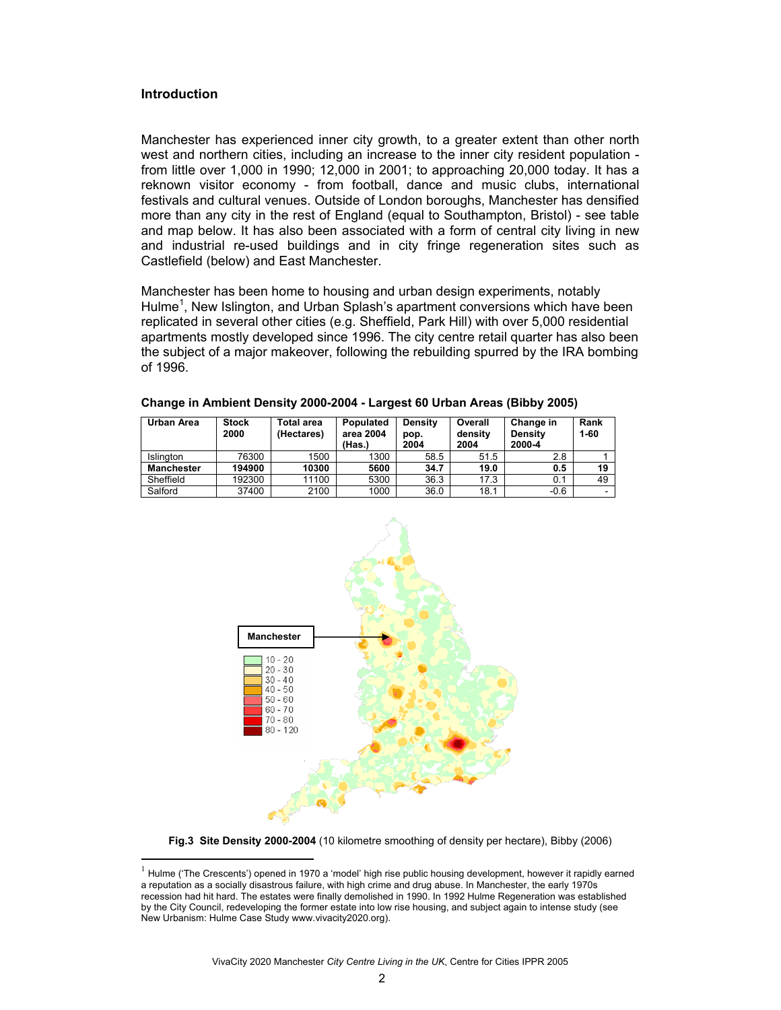## **Introduction**

 $\overline{a}$ 

Manchester has experienced inner city growth, to a greater extent than other north west and northern cities, including an increase to the inner city resident population from little over 1,000 in 1990; 12,000 in 2001; to approaching 20,000 today. It has a reknown visitor economy - from football, dance and music clubs, international festivals and cultural venues. Outside of London boroughs, Manchester has densified more than any city in the rest of England (equal to Southampton, Bristol) - see table and map below. It has also been associated with a form of central city living in new and industrial re-used buildings and in city fringe regeneration sites such as Castlefield (below) and East Manchester.

Manchester has been home to housing and urban design experiments, notably Hulme<sup>1</sup>, New Islington, and Urban Splash's apartment conversions which have been replicated in several other cities (e.g. Sheffield, Park Hill) with over 5,000 residential apartments mostly developed since 1996. The city centre retail quarter has also been the subject of a major makeover, following the rebuilding spurred by the IRA bombing of 1996.

| Urban Area        | <b>Stock</b><br>2000 | Total area<br>(Hectares) | Populated<br>area 2004<br>(Has.) | Density<br>pop.<br>2004 | Overall<br>density<br>2004 | Change in<br>Density<br>2000-4 | Rank<br>$1 - 60$ |
|-------------------|----------------------|--------------------------|----------------------------------|-------------------------|----------------------------|--------------------------------|------------------|
| <b>Islinaton</b>  | 76300                | 1500                     | 1300                             | 58.5                    | 51.5                       | 2.8                            |                  |
| <b>Manchester</b> | 194900               | 10300                    | 5600                             | 34.7                    | 19.0                       | 0.5                            | 19               |
| Sheffield         | 192300               | 11100                    | 5300                             | 36.3                    | 17.3                       | 0.1                            | 49               |
| Salford           | 37400                | 2100                     | 1000                             | 36.0                    | 18.1                       | $-0.6$                         |                  |

**Change in Ambient Density 2000-2004 - Largest 60 Urban Areas (Bibby 2005)** 



**Fig.3 Site Density 2000-2004** (10 kilometre smoothing of density per hectare), Bibby (2006)

 $<sup>1</sup>$  Hulme ('The Crescents') opened in 1970 a 'model' high rise public housing development, however it rapidly earned</sup> a reputation as a socially disastrous failure, with high crime and drug abuse. In Manchester, the early 1970s recession had hit hard. The estates were finally demolished in 1990. In 1992 Hulme Regeneration was established by the City Council, redeveloping the former estate into low rise housing, and subject again to intense study (see New Urbanism: Hulme Case Study www.vivacity2020.org).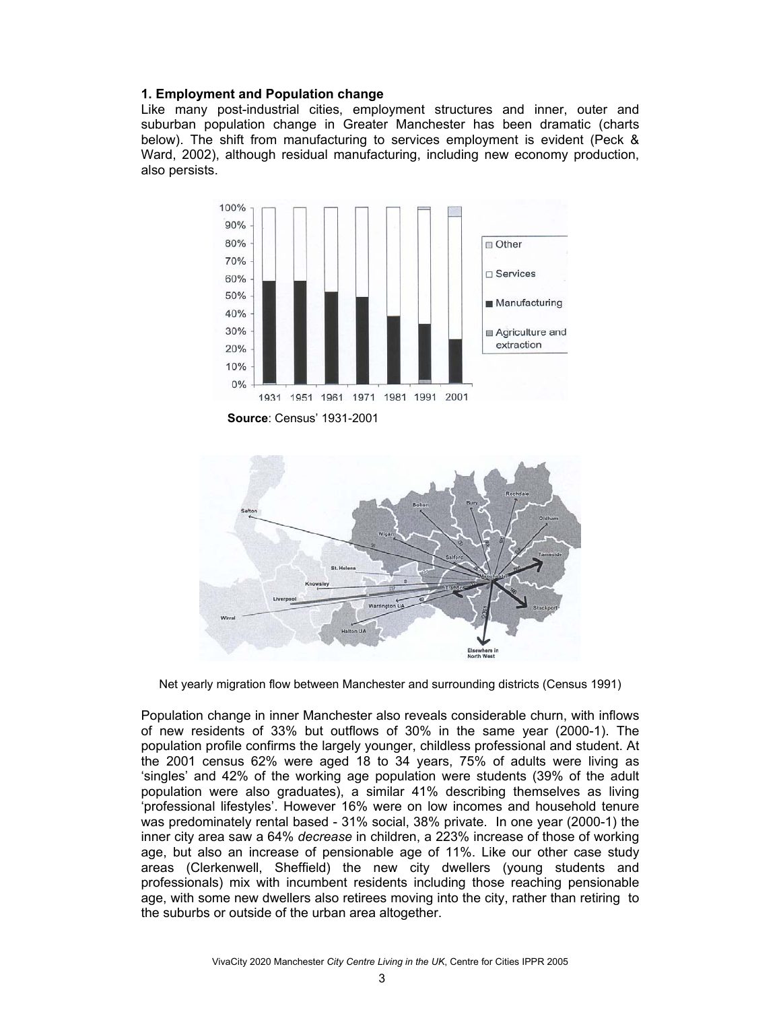## **1. Employment and Population change**

Like many post-industrial cities, employment structures and inner, outer and suburban population change in Greater Manchester has been dramatic (charts below). The shift from manufacturing to services employment is evident (Peck & Ward, 2002), although residual manufacturing, including new economy production, also persists.



**Source**: Census' 1931-2001



Net yearly migration flow between Manchester and surrounding districts (Census 1991)

Population change in inner Manchester also reveals considerable churn, with inflows of new residents of 33% but outflows of 30% in the same year (2000-1). The population profile confirms the largely younger, childless professional and student. At the 2001 census 62% were aged 18 to 34 years, 75% of adults were living as 'singles' and 42% of the working age population were students (39% of the adult population were also graduates), a similar 41% describing themselves as living 'professional lifestyles'. However 16% were on low incomes and household tenure was predominately rental based - 31% social, 38% private. In one year (2000-1) the inner city area saw a 64% *decrease* in children, a 223% increase of those of working age, but also an increase of pensionable age of 11%. Like our other case study areas (Clerkenwell, Sheffield) the new city dwellers (young students and professionals) mix with incumbent residents including those reaching pensionable age, with some new dwellers also retirees moving into the city, rather than retiring to the suburbs or outside of the urban area altogether.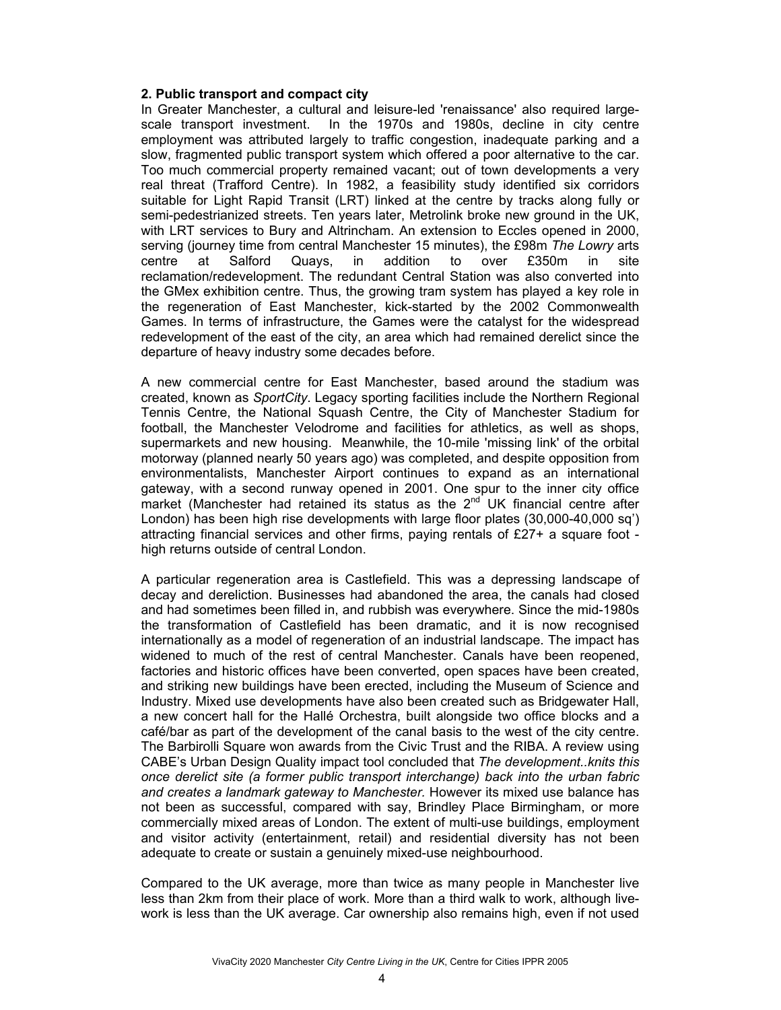## **2. Public transport and compact city**

In Greater Manchester, a cultural and leisure-led 'renaissance' also required largescale transport investment. In the 1970s and 1980s, decline in city centre employment was attributed largely to traffic congestion, inadequate parking and a slow, fragmented public transport system which offered a poor alternative to the car. Too much commercial property remained vacant; out of town developments a very real threat (Trafford Centre). In 1982, a feasibility study identified six corridors suitable for Light Rapid Transit (LRT) linked at the centre by tracks along fully or semi-pedestrianized streets. Ten years later, Metrolink broke new ground in the UK, with LRT services to Bury and Altrincham. An extension to Eccles opened in 2000, serving (journey time from central Manchester 15 minutes), the £98m *The Lowry* arts centre at Salford Quays, in addition to over £350m in site reclamation/redevelopment. The redundant Central Station was also converted into the GMex exhibition centre. Thus, the growing tram system has played a key role in the regeneration of East Manchester, kick-started by the 2002 Commonwealth Games. In terms of infrastructure, the Games were the catalyst for the widespread redevelopment of the east of the city, an area which had remained derelict since the departure of heavy industry some decades before.

A new commercial centre for East Manchester, based around the stadium was created, known as *SportCity*. Legacy sporting facilities include the Northern Regional Tennis Centre, the National Squash Centre, the City of Manchester Stadium for football, the Manchester Velodrome and facilities for athletics, as well as shops, supermarkets and new housing. Meanwhile, the 10-mile 'missing link' of the orbital motorway (planned nearly 50 years ago) was completed, and despite opposition from environmentalists, Manchester Airport continues to expand as an international gateway, with a second runway opened in 2001. One spur to the inner city office market (Manchester had retained its status as the  $2<sup>nd</sup>$  UK financial centre after London) has been high rise developments with large floor plates (30,000-40,000 sq') attracting financial services and other firms, paying rentals of £27+ a square foot high returns outside of central London.

A particular regeneration area is Castlefield. This was a depressing landscape of decay and dereliction. Businesses had abandoned the area, the canals had closed and had sometimes been filled in, and rubbish was everywhere. Since the mid-1980s the transformation of Castlefield has been dramatic, and it is now recognised internationally as a model of regeneration of an industrial landscape. The impact has widened to much of the rest of central Manchester. Canals have been reopened, factories and historic offices have been converted, open spaces have been created, and striking new buildings have been erected, including the Museum of Science and Industry. Mixed use developments have also been created such as Bridgewater Hall, a new concert hall for the Hallé Orchestra, built alongside two office blocks and a café/bar as part of the development of the canal basis to the west of the city centre. The Barbirolli Square won awards from the Civic Trust and the RIBA. A review using CABE's Urban Design Quality impact tool concluded that *The development..knits this once derelict site (a former public transport interchange) back into the urban fabric and creates a landmark gateway to Manchester.* However its mixed use balance has not been as successful, compared with say, Brindley Place Birmingham, or more commercially mixed areas of London. The extent of multi-use buildings, employment and visitor activity (entertainment, retail) and residential diversity has not been adequate to create or sustain a genuinely mixed-use neighbourhood.

Compared to the UK average, more than twice as many people in Manchester live less than 2km from their place of work. More than a third walk to work, although livework is less than the UK average. Car ownership also remains high, even if not used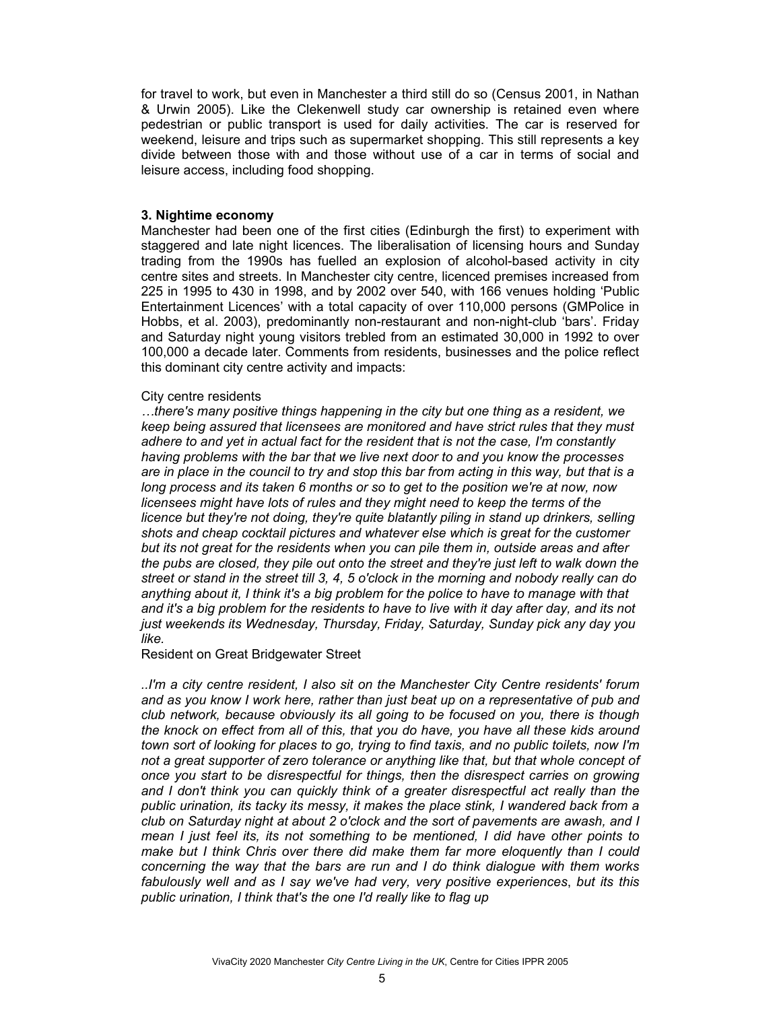for travel to work, but even in Manchester a third still do so (Census 2001, in Nathan & Urwin 2005). Like the Clekenwell study car ownership is retained even where pedestrian or public transport is used for daily activities. The car is reserved for weekend, leisure and trips such as supermarket shopping. This still represents a key divide between those with and those without use of a car in terms of social and leisure access, including food shopping.

## **3. Nightime economy**

Manchester had been one of the first cities (Edinburgh the first) to experiment with staggered and late night licences. The liberalisation of licensing hours and Sunday trading from the 1990s has fuelled an explosion of alcohol-based activity in city centre sites and streets. In Manchester city centre, licenced premises increased from 225 in 1995 to 430 in 1998, and by 2002 over 540, with 166 venues holding 'Public Entertainment Licences' with a total capacity of over 110,000 persons (GMPolice in Hobbs, et al. 2003), predominantly non-restaurant and non-night-club 'bars'. Friday and Saturday night young visitors trebled from an estimated 30,000 in 1992 to over 100,000 a decade later. Comments from residents, businesses and the police reflect this dominant city centre activity and impacts:

## City centre residents

*…there's many positive things happening in the city but one thing as a resident, we keep being assured that licensees are monitored and have strict rules that they must adhere to and yet in actual fact for the resident that is not the case, I'm constantly having problems with the bar that we live next door to and you know the processes are in place in the council to try and stop this bar from acting in this way, but that is a long process and its taken 6 months or so to get to the position we're at now, now licensees might have lots of rules and they might need to keep the terms of the licence but they're not doing, they're quite blatantly piling in stand up drinkers, selling shots and cheap cocktail pictures and whatever else which is great for the customer but its not great for the residents when you can pile them in, outside areas and after the pubs are closed, they pile out onto the street and they're just left to walk down the street or stand in the street till 3, 4, 5 o'clock in the morning and nobody really can do anything about it, I think it's a big problem for the police to have to manage with that and it's a big problem for the residents to have to live with it day after day, and its not just weekends its Wednesday, Thursday, Friday, Saturday, Sunday pick any day you like.* 

Resident on Great Bridgewater Street

*..I'm a city centre resident, I also sit on the Manchester City Centre residents' forum and as you know I work here, rather than just beat up on a representative of pub and club network, because obviously its all going to be focused on you, there is though the knock on effect from all of this, that you do have, you have all these kids around town sort of looking for places to go, trying to find taxis, and no public toilets, now I'm not a great supporter of zero tolerance or anything like that, but that whole concept of once you start to be disrespectful for things, then the disrespect carries on growing and I don't think you can quickly think of a greater disrespectful act really than the public urination, its tacky its messy, it makes the place stink, I wandered back from a club on Saturday night at about 2 o'clock and the sort of pavements are awash, and I mean I just feel its, its not something to be mentioned, I did have other points to make but I think Chris over there did make them far more eloquently than I could concerning the way that the bars are run and I do think dialogue with them works fabulously well and as I say we've had very, very positive experiences*, *but its this public urination, I think that's the one I'd really like to flag up*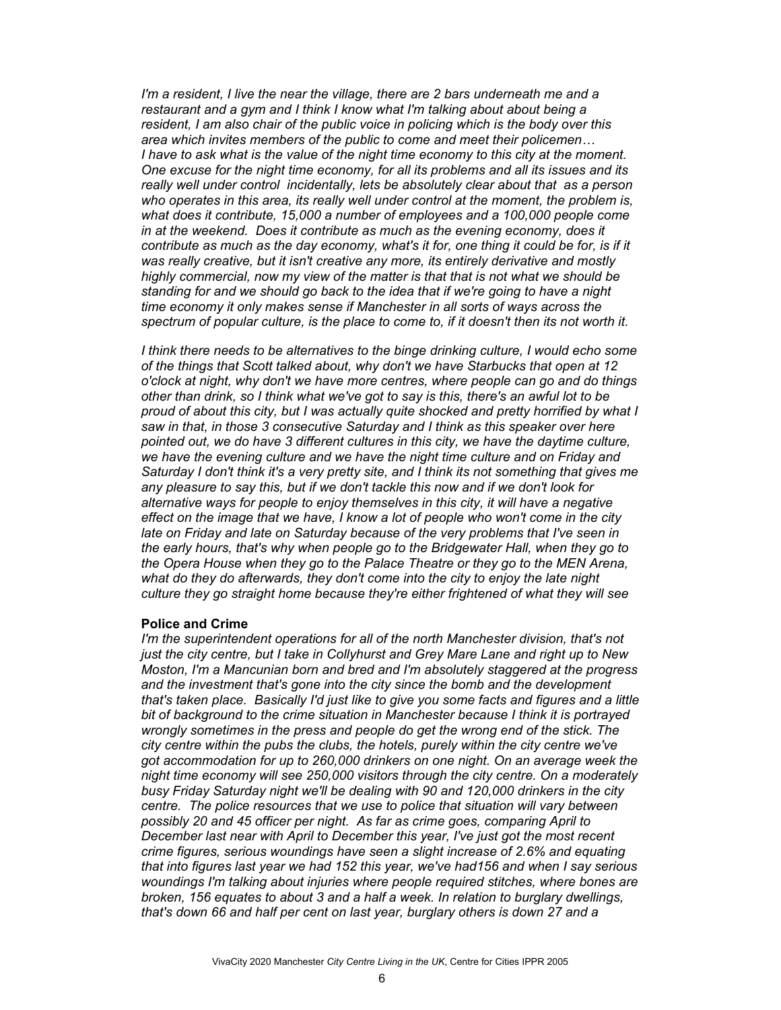*I'm a resident, I live the near the village, there are 2 bars underneath me and a restaurant and a gym and I think I know what I'm talking about about being a resident, I am also chair of the public voice in policing which is the body over this area which invites members of the public to come and meet their policemen… I have to ask what is the value of the night time economy to this city at the moment. One excuse for the night time economy, for all its problems and all its issues and its really well under control incidentally, lets be absolutely clear about that as a person who operates in this area, its really well under control at the moment, the problem is, what does it contribute, 15,000 a number of employees and a 100,000 people come in at the weekend. Does it contribute as much as the evening economy, does it contribute as much as the day economy, what's it for, one thing it could be for, is if it was really creative, but it isn't creative any more, its entirely derivative and mostly highly commercial, now my view of the matter is that that is not what we should be standing for and we should go back to the idea that if we're going to have a night time economy it only makes sense if Manchester in all sorts of ways across the spectrum of popular culture, is the place to come to, if it doesn't then its not worth it.* 

*I think there needs to be alternatives to the binge drinking culture, I would echo some of the things that Scott talked about, why don't we have Starbucks that open at 12 o'clock at night, why don't we have more centres, where people can go and do things other than drink, so I think what we've got to say is this, there's an awful lot to be proud of about this city, but I was actually quite shocked and pretty horrified by what I saw in that, in those 3 consecutive Saturday and I think as this speaker over here pointed out, we do have 3 different cultures in this city, we have the daytime culture, we have the evening culture and we have the night time culture and on Friday and Saturday I don't think it's a very pretty site, and I think its not something that gives me any pleasure to say this, but if we don't tackle this now and if we don't look for alternative ways for people to enjoy themselves in this city, it will have a negative effect on the image that we have, I know a lot of people who won't come in the city late on Friday and late on Saturday because of the very problems that I've seen in the early hours, that's why when people go to the Bridgewater Hall, when they go to the Opera House when they go to the Palace Theatre or they go to the MEN Arena, what do they do afterwards, they don't come into the city to enjoy the late night culture they go straight home because they're either frightened of what they will see* 

## **Police and Crime**

*I'm the superintendent operations for all of the north Manchester division, that's not just the city centre, but I take in Collyhurst and Grey Mare Lane and right up to New Moston, I'm a Mancunian born and bred and I'm absolutely staggered at the progress and the investment that's gone into the city since the bomb and the development that's taken place. Basically I'd just like to give you some facts and figures and a little bit of background to the crime situation in Manchester because I think it is portrayed wrongly sometimes in the press and people do get the wrong end of the stick. The city centre within the pubs the clubs, the hotels, purely within the city centre we've got accommodation for up to 260,000 drinkers on one night. On an average week the night time economy will see 250,000 visitors through the city centre. On a moderately busy Friday Saturday night we'll be dealing with 90 and 120,000 drinkers in the city centre. The police resources that we use to police that situation will vary between possibly 20 and 45 officer per night. As far as crime goes, comparing April to December last near with April to December this year, I've just got the most recent crime figures, serious woundings have seen a slight increase of 2.6% and equating that into figures last year we had 152 this year, we've had156 and when I say serious woundings I'm talking about injuries where people required stitches, where bones are broken, 156 equates to about 3 and a half a week. In relation to burglary dwellings, that's down 66 and half per cent on last year, burglary others is down 27 and a*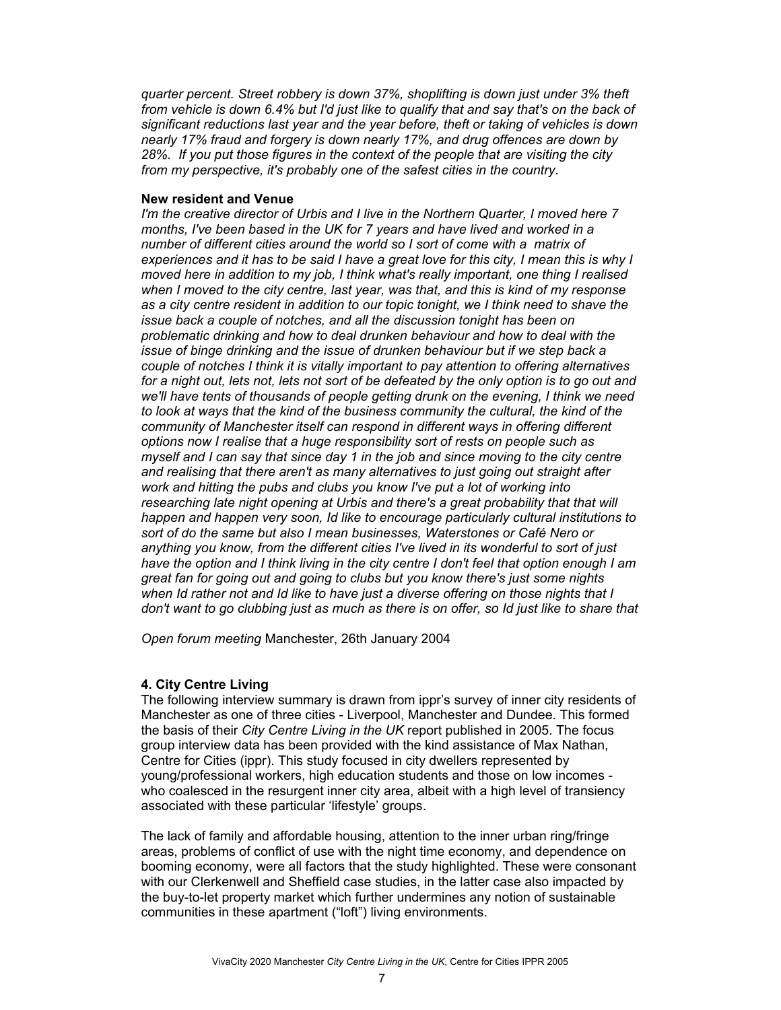*quarter percent. Street robbery is down 37%, shoplifting is down just under 3% theft from vehicle is down 6.4% but I'd just like to qualify that and say that's on the back of significant reductions last year and the year before, theft or taking of vehicles is down nearly 17% fraud and forgery is down nearly 17%, and drug offences are down by 28%. If you put those figures in the context of the people that are visiting the city from my perspective, it's probably one of the safest cities in the country*.

## **New resident and Venue**

*I'm the creative director of Urbis and I live in the Northern Quarter, I moved here 7 months, I've been based in the UK for 7 years and have lived and worked in a number of different cities around the world so I sort of come with a matrix of experiences and it has to be said I have a great love for this city, I mean this is why I moved here in addition to my job, I think what's really important, one thing I realised when I moved to the city centre, last year, was that, and this is kind of my response as a city centre resident in addition to our topic tonight, we I think need to shave the issue back a couple of notches, and all the discussion tonight has been on problematic drinking and how to deal drunken behaviour and how to deal with the issue of binge drinking and the issue of drunken behaviour but if we step back a couple of notches I think it is vitally important to pay attention to offering alternatives*  for a night out, lets not, lets not sort of be defeated by the only option is to go out and *we'll have tents of thousands of people getting drunk on the evening, I think we need to look at ways that the kind of the business community the cultural, the kind of the community of Manchester itself can respond in different ways in offering different options now I realise that a huge responsibility sort of rests on people such as myself and I can say that since day 1 in the job and since moving to the city centre and realising that there aren't as many alternatives to just going out straight after work and hitting the pubs and clubs you know I've put a lot of working into researching late night opening at Urbis and there's a great probability that that will happen and happen very soon, Id like to encourage particularly cultural institutions to sort of do the same but also I mean businesses, Waterstones or Café Nero or anything you know, from the different cities I've lived in its wonderful to sort of just have the option and I think living in the city centre I don't feel that option enough I am great fan for going out and going to clubs but you know there's just some nights when Id rather not and Id like to have just a diverse offering on those nights that I*  don't want to go clubbing just as much as there is on offer, so Id just like to share that

*Open forum meeting* Manchester, 26th January 2004

## **4. City Centre Living**

The following interview summary is drawn from ippr's survey of inner city residents of Manchester as one of three cities - Liverpool, Manchester and Dundee. This formed the basis of their *City Centre Living in the UK* report published in 2005. The focus group interview data has been provided with the kind assistance of Max Nathan, Centre for Cities (ippr). This study focused in city dwellers represented by young/professional workers, high education students and those on low incomes who coalesced in the resurgent inner city area, albeit with a high level of transiency associated with these particular 'lifestyle' groups.

The lack of family and affordable housing, attention to the inner urban ring/fringe areas, problems of conflict of use with the night time economy, and dependence on booming economy, were all factors that the study highlighted. These were consonant with our Clerkenwell and Sheffield case studies, in the latter case also impacted by the buy-to-let property market which further undermines any notion of sustainable communities in these apartment ("loft") living environments.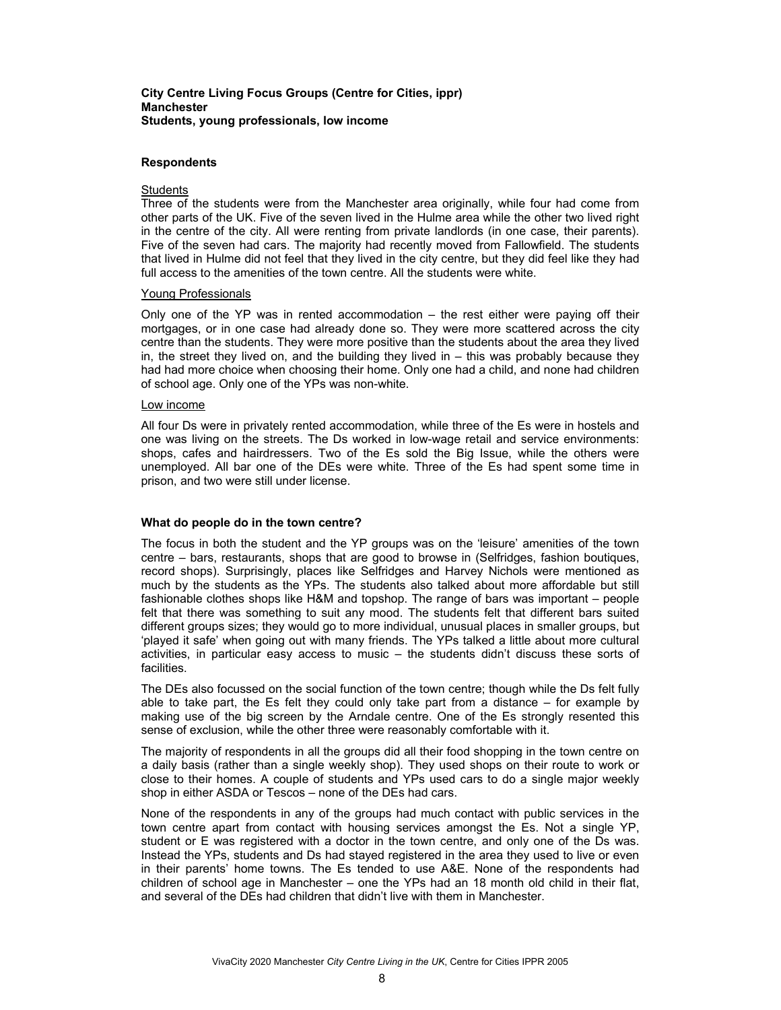### **City Centre Living Focus Groups (Centre for Cities, ippr) Manchester Students, young professionals, low income**

#### **Respondents**

### **Students**

Three of the students were from the Manchester area originally, while four had come from other parts of the UK. Five of the seven lived in the Hulme area while the other two lived right in the centre of the city. All were renting from private landlords (in one case, their parents). Five of the seven had cars. The majority had recently moved from Fallowfield. The students that lived in Hulme did not feel that they lived in the city centre, but they did feel like they had full access to the amenities of the town centre. All the students were white.

#### Young Professionals

Only one of the YP was in rented accommodation – the rest either were paying off their mortgages, or in one case had already done so. They were more scattered across the city centre than the students. They were more positive than the students about the area they lived in, the street they lived on, and the building they lived in – this was probably because they had had more choice when choosing their home. Only one had a child, and none had children of school age. Only one of the YPs was non-white.

#### Low income

All four Ds were in privately rented accommodation, while three of the Es were in hostels and one was living on the streets. The Ds worked in low-wage retail and service environments: shops, cafes and hairdressers. Two of the Es sold the Big Issue, while the others were unemployed. All bar one of the DEs were white. Three of the Es had spent some time in prison, and two were still under license.

#### **What do people do in the town centre?**

The focus in both the student and the YP groups was on the 'leisure' amenities of the town centre – bars, restaurants, shops that are good to browse in (Selfridges, fashion boutiques, record shops). Surprisingly, places like Selfridges and Harvey Nichols were mentioned as much by the students as the YPs. The students also talked about more affordable but still fashionable clothes shops like H&M and topshop. The range of bars was important – people felt that there was something to suit any mood. The students felt that different bars suited different groups sizes; they would go to more individual, unusual places in smaller groups, but 'played it safe' when going out with many friends. The YPs talked a little about more cultural activities, in particular easy access to music – the students didn't discuss these sorts of facilities.

The DEs also focussed on the social function of the town centre; though while the Ds felt fully able to take part, the Es felt they could only take part from a distance – for example by making use of the big screen by the Arndale centre. One of the Es strongly resented this sense of exclusion, while the other three were reasonably comfortable with it.

The majority of respondents in all the groups did all their food shopping in the town centre on a daily basis (rather than a single weekly shop). They used shops on their route to work or close to their homes. A couple of students and YPs used cars to do a single major weekly shop in either ASDA or Tescos – none of the DEs had cars.

None of the respondents in any of the groups had much contact with public services in the town centre apart from contact with housing services amongst the Es. Not a single YP, student or E was registered with a doctor in the town centre, and only one of the Ds was. Instead the YPs, students and Ds had stayed registered in the area they used to live or even in their parents' home towns. The Es tended to use A&E. None of the respondents had children of school age in Manchester – one the YPs had an 18 month old child in their flat, and several of the DEs had children that didn't live with them in Manchester.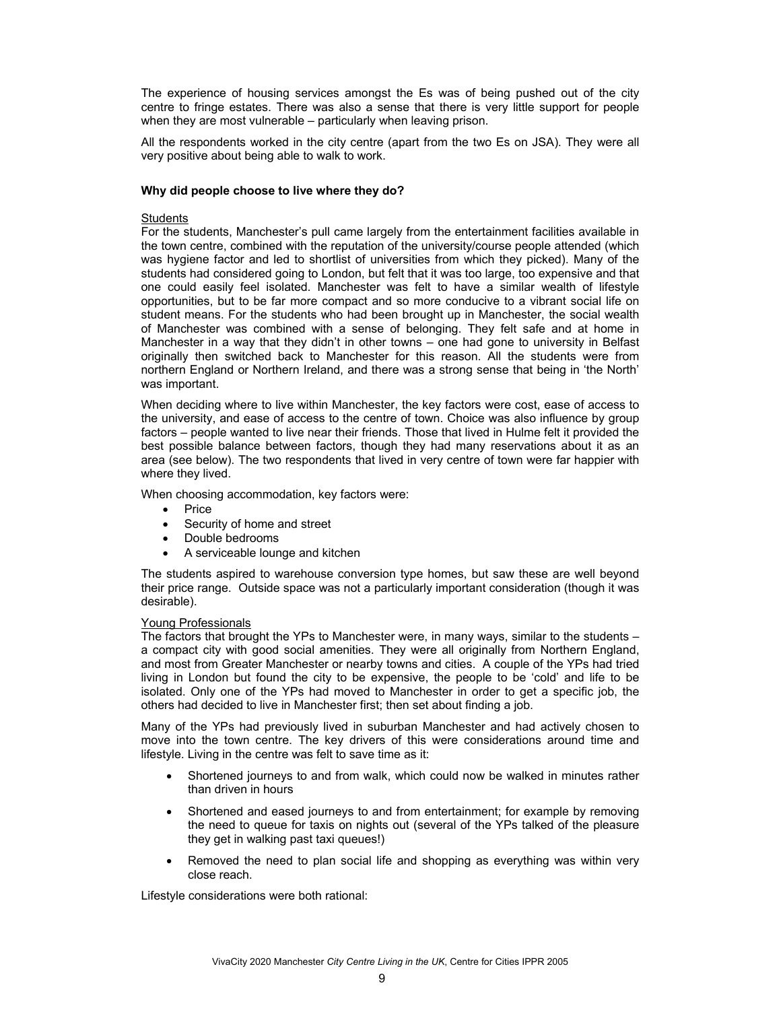The experience of housing services amongst the Es was of being pushed out of the city centre to fringe estates. There was also a sense that there is very little support for people when they are most vulnerable – particularly when leaving prison.

All the respondents worked in the city centre (apart from the two Es on JSA). They were all very positive about being able to walk to work.

### **Why did people choose to live where they do?**

### **Students**

For the students, Manchester's pull came largely from the entertainment facilities available in the town centre, combined with the reputation of the university/course people attended (which was hygiene factor and led to shortlist of universities from which they picked). Many of the students had considered going to London, but felt that it was too large, too expensive and that one could easily feel isolated. Manchester was felt to have a similar wealth of lifestyle opportunities, but to be far more compact and so more conducive to a vibrant social life on student means. For the students who had been brought up in Manchester, the social wealth of Manchester was combined with a sense of belonging. They felt safe and at home in Manchester in a way that they didn't in other towns – one had gone to university in Belfast originally then switched back to Manchester for this reason. All the students were from northern England or Northern Ireland, and there was a strong sense that being in 'the North' was important.

When deciding where to live within Manchester, the key factors were cost, ease of access to the university, and ease of access to the centre of town. Choice was also influence by group factors – people wanted to live near their friends. Those that lived in Hulme felt it provided the best possible balance between factors, though they had many reservations about it as an area (see below). The two respondents that lived in very centre of town were far happier with where they lived.

When choosing accommodation, key factors were:

- Price
- Security of home and street
- Double bedrooms
- A serviceable lounge and kitchen

The students aspired to warehouse conversion type homes, but saw these are well beyond their price range. Outside space was not a particularly important consideration (though it was desirable).

#### Young Professionals

The factors that brought the YPs to Manchester were, in many ways, similar to the students – a compact city with good social amenities. They were all originally from Northern England, and most from Greater Manchester or nearby towns and cities. A couple of the YPs had tried living in London but found the city to be expensive, the people to be 'cold' and life to be isolated. Only one of the YPs had moved to Manchester in order to get a specific job, the others had decided to live in Manchester first; then set about finding a job.

Many of the YPs had previously lived in suburban Manchester and had actively chosen to move into the town centre. The key drivers of this were considerations around time and lifestyle. Living in the centre was felt to save time as it:

- Shortened journeys to and from walk, which could now be walked in minutes rather than driven in hours
- Shortened and eased journeys to and from entertainment; for example by removing the need to queue for taxis on nights out (several of the YPs talked of the pleasure they get in walking past taxi queues!)
- Removed the need to plan social life and shopping as everything was within very close reach.

Lifestyle considerations were both rational: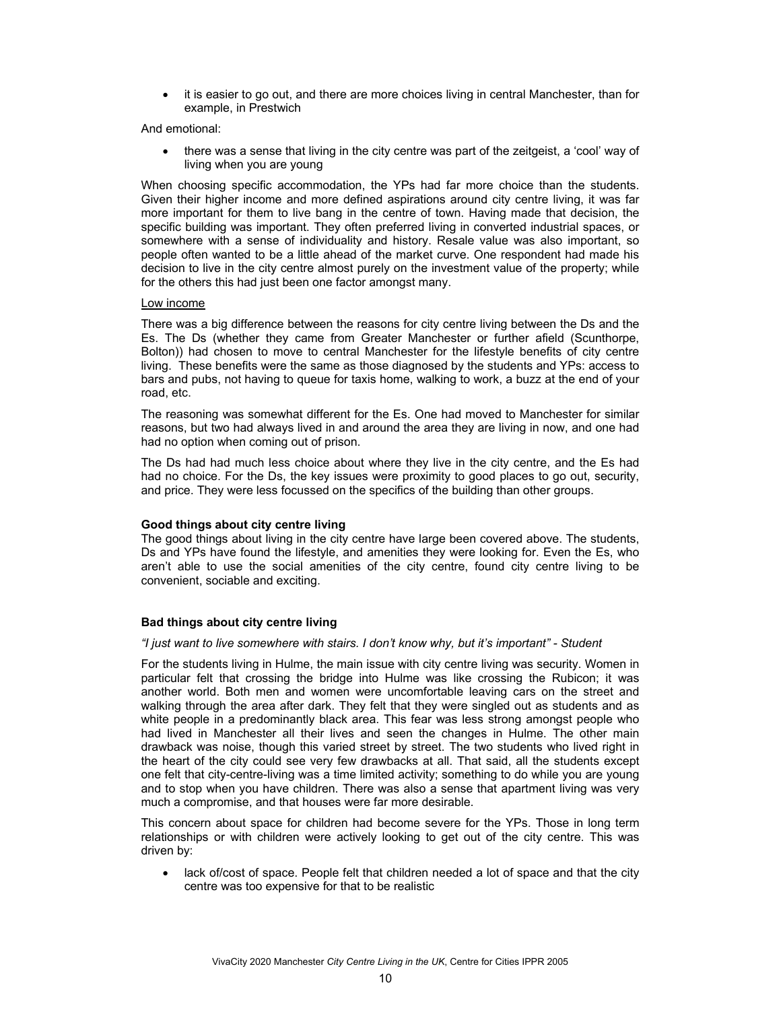• it is easier to go out, and there are more choices living in central Manchester, than for example, in Prestwich

And emotional:

• there was a sense that living in the city centre was part of the zeitgeist, a 'cool' way of living when you are young

When choosing specific accommodation, the YPs had far more choice than the students. Given their higher income and more defined aspirations around city centre living, it was far more important for them to live bang in the centre of town. Having made that decision, the specific building was important. They often preferred living in converted industrial spaces, or somewhere with a sense of individuality and history. Resale value was also important, so people often wanted to be a little ahead of the market curve. One respondent had made his decision to live in the city centre almost purely on the investment value of the property; while for the others this had just been one factor amongst many.

### Low income

There was a big difference between the reasons for city centre living between the Ds and the Es. The Ds (whether they came from Greater Manchester or further afield (Scunthorpe, Bolton)) had chosen to move to central Manchester for the lifestyle benefits of city centre living. These benefits were the same as those diagnosed by the students and YPs: access to bars and pubs, not having to queue for taxis home, walking to work, a buzz at the end of your road, etc.

The reasoning was somewhat different for the Es. One had moved to Manchester for similar reasons, but two had always lived in and around the area they are living in now, and one had had no option when coming out of prison.

The Ds had had much less choice about where they live in the city centre, and the Es had had no choice. For the Ds, the key issues were proximity to good places to go out, security, and price. They were less focussed on the specifics of the building than other groups.

## **Good things about city centre living**

The good things about living in the city centre have large been covered above. The students, Ds and YPs have found the lifestyle, and amenities they were looking for. Even the Es, who aren't able to use the social amenities of the city centre, found city centre living to be convenient, sociable and exciting.

## **Bad things about city centre living**

#### *"I just want to live somewhere with stairs. I don't know why, but it's important" - Student*

For the students living in Hulme, the main issue with city centre living was security. Women in particular felt that crossing the bridge into Hulme was like crossing the Rubicon; it was another world. Both men and women were uncomfortable leaving cars on the street and walking through the area after dark. They felt that they were singled out as students and as white people in a predominantly black area. This fear was less strong amongst people who had lived in Manchester all their lives and seen the changes in Hulme. The other main drawback was noise, though this varied street by street. The two students who lived right in the heart of the city could see very few drawbacks at all. That said, all the students except one felt that city-centre-living was a time limited activity; something to do while you are young and to stop when you have children. There was also a sense that apartment living was very much a compromise, and that houses were far more desirable.

This concern about space for children had become severe for the YPs. Those in long term relationships or with children were actively looking to get out of the city centre. This was driven by:

lack of/cost of space. People felt that children needed a lot of space and that the city centre was too expensive for that to be realistic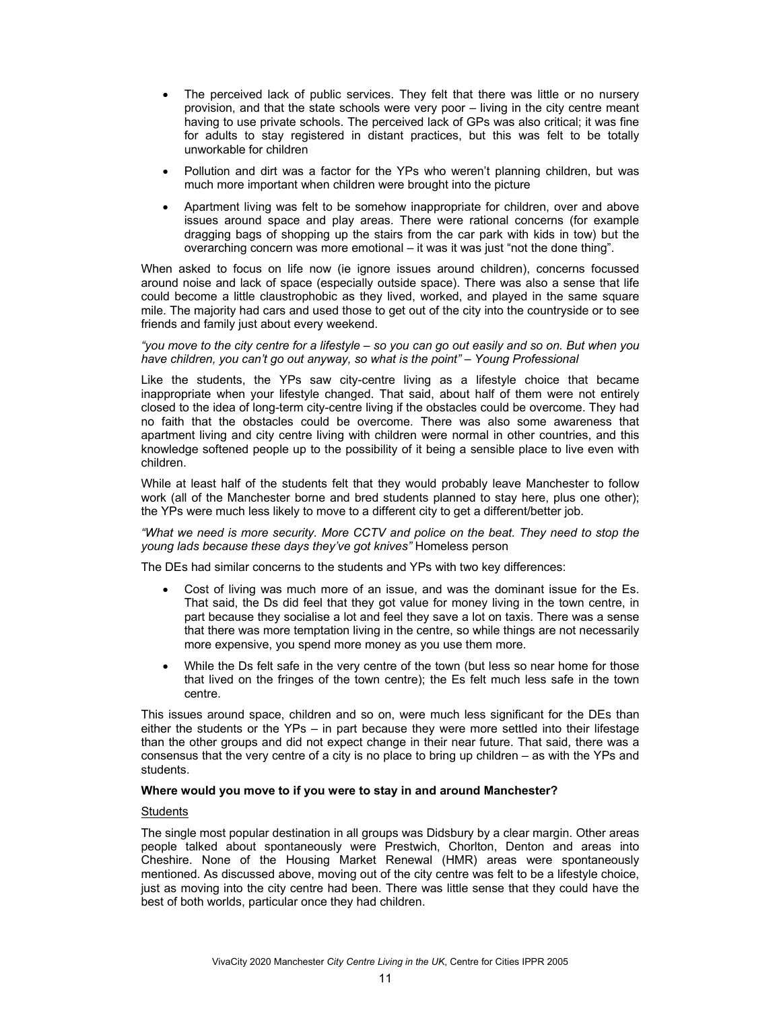- The perceived lack of public services. They felt that there was little or no nursery provision, and that the state schools were very poor – living in the city centre meant having to use private schools. The perceived lack of GPs was also critical; it was fine for adults to stay registered in distant practices, but this was felt to be totally unworkable for children
- Pollution and dirt was a factor for the YPs who weren't planning children, but was much more important when children were brought into the picture
- Apartment living was felt to be somehow inappropriate for children, over and above issues around space and play areas. There were rational concerns (for example dragging bags of shopping up the stairs from the car park with kids in tow) but the overarching concern was more emotional – it was it was just "not the done thing".

When asked to focus on life now (ie ignore issues around children), concerns focussed around noise and lack of space (especially outside space). There was also a sense that life could become a little claustrophobic as they lived, worked, and played in the same square mile. The majority had cars and used those to get out of the city into the countryside or to see friends and family just about every weekend.

### *"you move to the city centre for a lifestyle – so you can go out easily and so on. But when you have children, you can't go out anyway, so what is the point" – Young Professional*

Like the students, the YPs saw city-centre living as a lifestyle choice that became inappropriate when your lifestyle changed. That said, about half of them were not entirely closed to the idea of long-term city-centre living if the obstacles could be overcome. They had no faith that the obstacles could be overcome. There was also some awareness that apartment living and city centre living with children were normal in other countries, and this knowledge softened people up to the possibility of it being a sensible place to live even with children.

While at least half of the students felt that they would probably leave Manchester to follow work (all of the Manchester borne and bred students planned to stay here, plus one other); the YPs were much less likely to move to a different city to get a different/better job.

*"What we need is more security. More CCTV and police on the beat. They need to stop the young lads because these days they've got knives"* Homeless person

The DEs had similar concerns to the students and YPs with two key differences:

- Cost of living was much more of an issue, and was the dominant issue for the Es. That said, the Ds did feel that they got value for money living in the town centre, in part because they socialise a lot and feel they save a lot on taxis. There was a sense that there was more temptation living in the centre, so while things are not necessarily more expensive, you spend more money as you use them more.
- While the Ds felt safe in the very centre of the town (but less so near home for those that lived on the fringes of the town centre); the Es felt much less safe in the town centre.

This issues around space, children and so on, were much less significant for the DEs than either the students or the YPs – in part because they were more settled into their lifestage than the other groups and did not expect change in their near future. That said, there was a consensus that the very centre of a city is no place to bring up children – as with the YPs and students.

## **Where would you move to if you were to stay in and around Manchester?**

### **Students**

The single most popular destination in all groups was Didsbury by a clear margin. Other areas people talked about spontaneously were Prestwich, Chorlton, Denton and areas into Cheshire. None of the Housing Market Renewal (HMR) areas were spontaneously mentioned. As discussed above, moving out of the city centre was felt to be a lifestyle choice, just as moving into the city centre had been. There was little sense that they could have the best of both worlds, particular once they had children.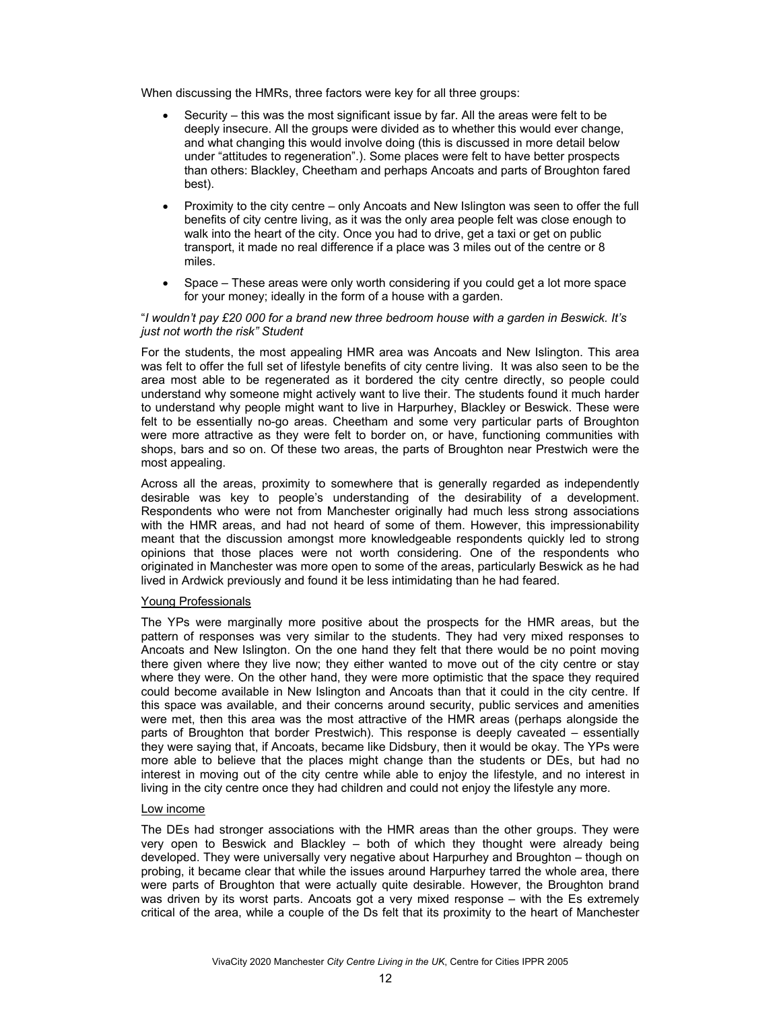When discussing the HMRs, three factors were key for all three groups:

- Security this was the most significant issue by far. All the areas were felt to be deeply insecure. All the groups were divided as to whether this would ever change, and what changing this would involve doing (this is discussed in more detail below under "attitudes to regeneration".). Some places were felt to have better prospects than others: Blackley, Cheetham and perhaps Ancoats and parts of Broughton fared best).
- Proximity to the city centre only Ancoats and New Islington was seen to offer the full benefits of city centre living, as it was the only area people felt was close enough to walk into the heart of the city. Once you had to drive, get a taxi or get on public transport, it made no real difference if a place was 3 miles out of the centre or 8 miles.
- Space These areas were only worth considering if you could get a lot more space for your money; ideally in the form of a house with a garden.

### "*I wouldn't pay £20 000 for a brand new three bedroom house with a garden in Beswick. It's just not worth the risk" Student*

For the students, the most appealing HMR area was Ancoats and New Islington. This area was felt to offer the full set of lifestyle benefits of city centre living. It was also seen to be the area most able to be regenerated as it bordered the city centre directly, so people could understand why someone might actively want to live their. The students found it much harder to understand why people might want to live in Harpurhey, Blackley or Beswick. These were felt to be essentially no-go areas. Cheetham and some very particular parts of Broughton were more attractive as they were felt to border on, or have, functioning communities with shops, bars and so on. Of these two areas, the parts of Broughton near Prestwich were the most appealing.

Across all the areas, proximity to somewhere that is generally regarded as independently desirable was key to people's understanding of the desirability of a development. Respondents who were not from Manchester originally had much less strong associations with the HMR areas, and had not heard of some of them. However, this impressionability meant that the discussion amongst more knowledgeable respondents quickly led to strong opinions that those places were not worth considering. One of the respondents who originated in Manchester was more open to some of the areas, particularly Beswick as he had lived in Ardwick previously and found it be less intimidating than he had feared.

## Young Professionals

The YPs were marginally more positive about the prospects for the HMR areas, but the pattern of responses was very similar to the students. They had very mixed responses to Ancoats and New Islington. On the one hand they felt that there would be no point moving there given where they live now; they either wanted to move out of the city centre or stay where they were. On the other hand, they were more optimistic that the space they required could become available in New Islington and Ancoats than that it could in the city centre. If this space was available, and their concerns around security, public services and amenities were met, then this area was the most attractive of the HMR areas (perhaps alongside the parts of Broughton that border Prestwich). This response is deeply caveated – essentially they were saying that, if Ancoats, became like Didsbury, then it would be okay. The YPs were more able to believe that the places might change than the students or DEs, but had no interest in moving out of the city centre while able to enjoy the lifestyle, and no interest in living in the city centre once they had children and could not enjoy the lifestyle any more.

## Low income

The DEs had stronger associations with the HMR areas than the other groups. They were very open to Beswick and Blackley – both of which they thought were already being developed. They were universally very negative about Harpurhey and Broughton – though on probing, it became clear that while the issues around Harpurhey tarred the whole area, there were parts of Broughton that were actually quite desirable. However, the Broughton brand was driven by its worst parts. Ancoats got a very mixed response – with the Es extremely critical of the area, while a couple of the Ds felt that its proximity to the heart of Manchester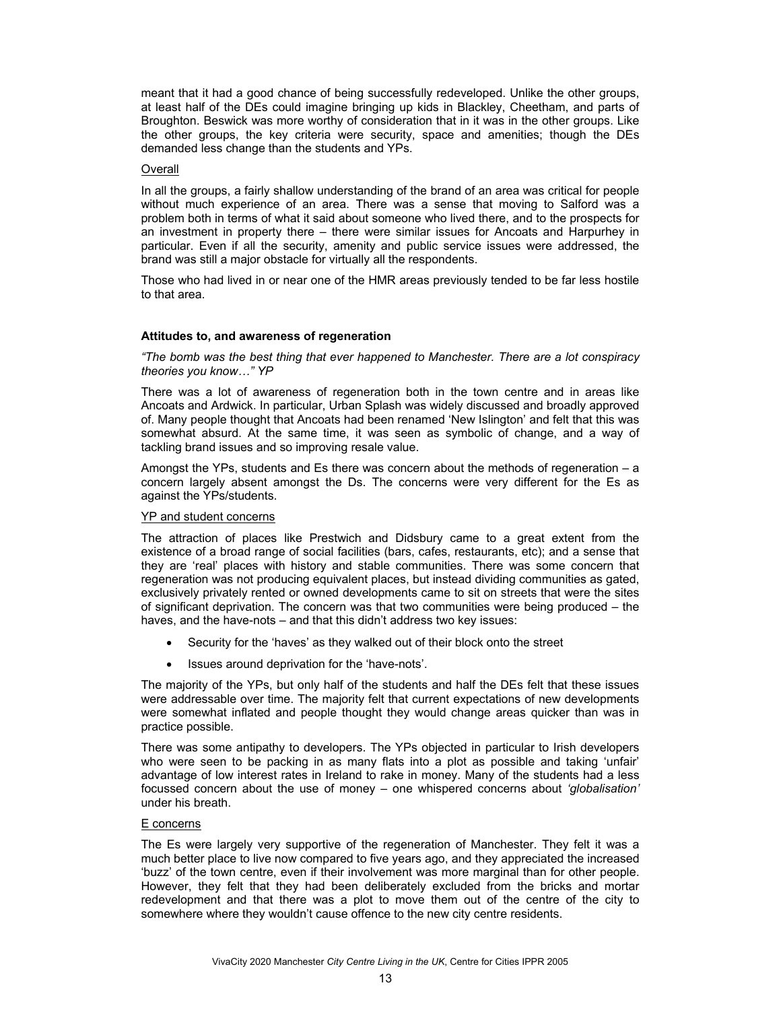meant that it had a good chance of being successfully redeveloped. Unlike the other groups, at least half of the DEs could imagine bringing up kids in Blackley, Cheetham, and parts of Broughton. Beswick was more worthy of consideration that in it was in the other groups. Like the other groups, the key criteria were security, space and amenities; though the DEs demanded less change than the students and YPs.

### Overall

In all the groups, a fairly shallow understanding of the brand of an area was critical for people without much experience of an area. There was a sense that moving to Salford was a problem both in terms of what it said about someone who lived there, and to the prospects for an investment in property there – there were similar issues for Ancoats and Harpurhey in particular. Even if all the security, amenity and public service issues were addressed, the brand was still a major obstacle for virtually all the respondents.

Those who had lived in or near one of the HMR areas previously tended to be far less hostile to that area.

### **Attitudes to, and awareness of regeneration**

*"The bomb was the best thing that ever happened to Manchester. There are a lot conspiracy theories you know…" YP* 

There was a lot of awareness of regeneration both in the town centre and in areas like Ancoats and Ardwick. In particular, Urban Splash was widely discussed and broadly approved of. Many people thought that Ancoats had been renamed 'New Islington' and felt that this was somewhat absurd. At the same time, it was seen as symbolic of change, and a way of tackling brand issues and so improving resale value.

Amongst the YPs, students and Es there was concern about the methods of regeneration  $- a$ concern largely absent amongst the Ds. The concerns were very different for the Es as against the YPs/students.

#### YP and student concerns

The attraction of places like Prestwich and Didsbury came to a great extent from the existence of a broad range of social facilities (bars, cafes, restaurants, etc); and a sense that they are 'real' places with history and stable communities. There was some concern that regeneration was not producing equivalent places, but instead dividing communities as gated, exclusively privately rented or owned developments came to sit on streets that were the sites of significant deprivation. The concern was that two communities were being produced – the haves, and the have-nots – and that this didn't address two key issues:

- Security for the 'haves' as they walked out of their block onto the street
- Issues around deprivation for the 'have-nots'.

The majority of the YPs, but only half of the students and half the DEs felt that these issues were addressable over time. The majority felt that current expectations of new developments were somewhat inflated and people thought they would change areas quicker than was in practice possible.

There was some antipathy to developers. The YPs objected in particular to Irish developers who were seen to be packing in as many flats into a plot as possible and taking 'unfair' advantage of low interest rates in Ireland to rake in money. Many of the students had a less focussed concern about the use of money – one whispered concerns about *'globalisation'*  under his breath.

### E concerns

The Es were largely very supportive of the regeneration of Manchester. They felt it was a much better place to live now compared to five years ago, and they appreciated the increased 'buzz' of the town centre, even if their involvement was more marginal than for other people. However, they felt that they had been deliberately excluded from the bricks and mortar redevelopment and that there was a plot to move them out of the centre of the city to somewhere where they wouldn't cause offence to the new city centre residents.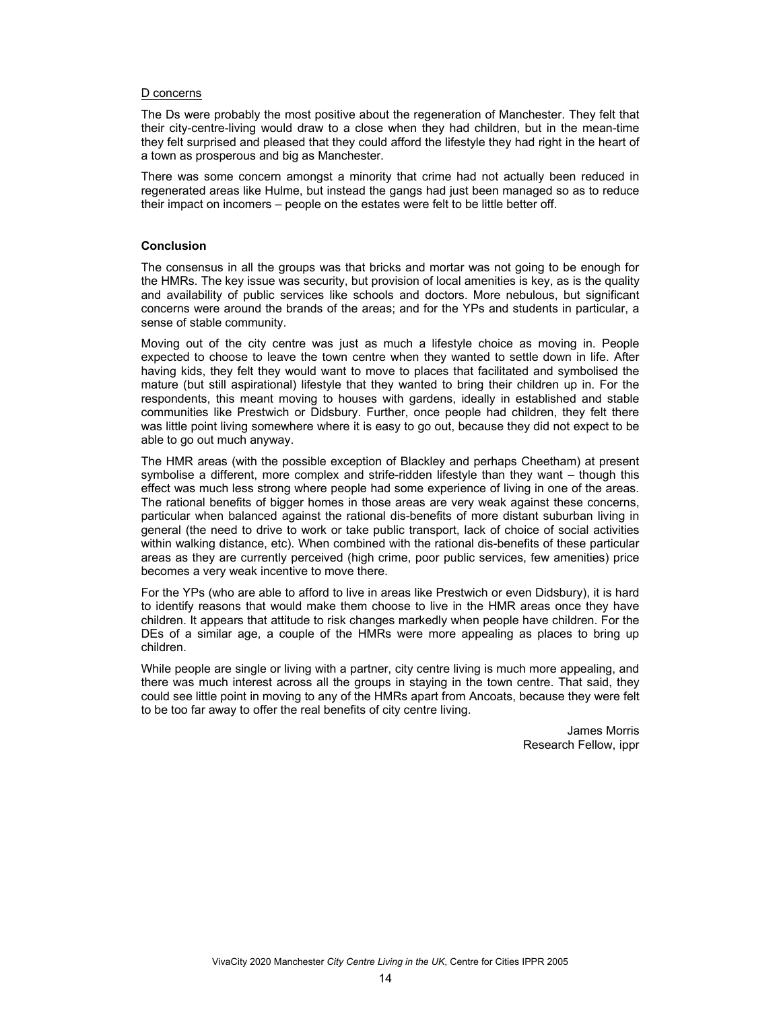#### D concerns

The Ds were probably the most positive about the regeneration of Manchester. They felt that their city-centre-living would draw to a close when they had children, but in the mean-time they felt surprised and pleased that they could afford the lifestyle they had right in the heart of a town as prosperous and big as Manchester.

There was some concern amongst a minority that crime had not actually been reduced in regenerated areas like Hulme, but instead the gangs had just been managed so as to reduce their impact on incomers – people on the estates were felt to be little better off.

## **Conclusion**

The consensus in all the groups was that bricks and mortar was not going to be enough for the HMRs. The key issue was security, but provision of local amenities is key, as is the quality and availability of public services like schools and doctors. More nebulous, but significant concerns were around the brands of the areas; and for the YPs and students in particular, a sense of stable community.

Moving out of the city centre was just as much a lifestyle choice as moving in. People expected to choose to leave the town centre when they wanted to settle down in life. After having kids, they felt they would want to move to places that facilitated and symbolised the mature (but still aspirational) lifestyle that they wanted to bring their children up in. For the respondents, this meant moving to houses with gardens, ideally in established and stable communities like Prestwich or Didsbury. Further, once people had children, they felt there was little point living somewhere where it is easy to go out, because they did not expect to be able to go out much anyway.

The HMR areas (with the possible exception of Blackley and perhaps Cheetham) at present symbolise a different, more complex and strife-ridden lifestyle than they want – though this effect was much less strong where people had some experience of living in one of the areas. The rational benefits of bigger homes in those areas are very weak against these concerns, particular when balanced against the rational dis-benefits of more distant suburban living in general (the need to drive to work or take public transport, lack of choice of social activities within walking distance, etc). When combined with the rational dis-benefits of these particular areas as they are currently perceived (high crime, poor public services, few amenities) price becomes a very weak incentive to move there.

For the YPs (who are able to afford to live in areas like Prestwich or even Didsbury), it is hard to identify reasons that would make them choose to live in the HMR areas once they have children. It appears that attitude to risk changes markedly when people have children. For the DEs of a similar age, a couple of the HMRs were more appealing as places to bring up children.

While people are single or living with a partner, city centre living is much more appealing, and there was much interest across all the groups in staying in the town centre. That said, they could see little point in moving to any of the HMRs apart from Ancoats, because they were felt to be too far away to offer the real benefits of city centre living.

> James Morris Research Fellow, ippr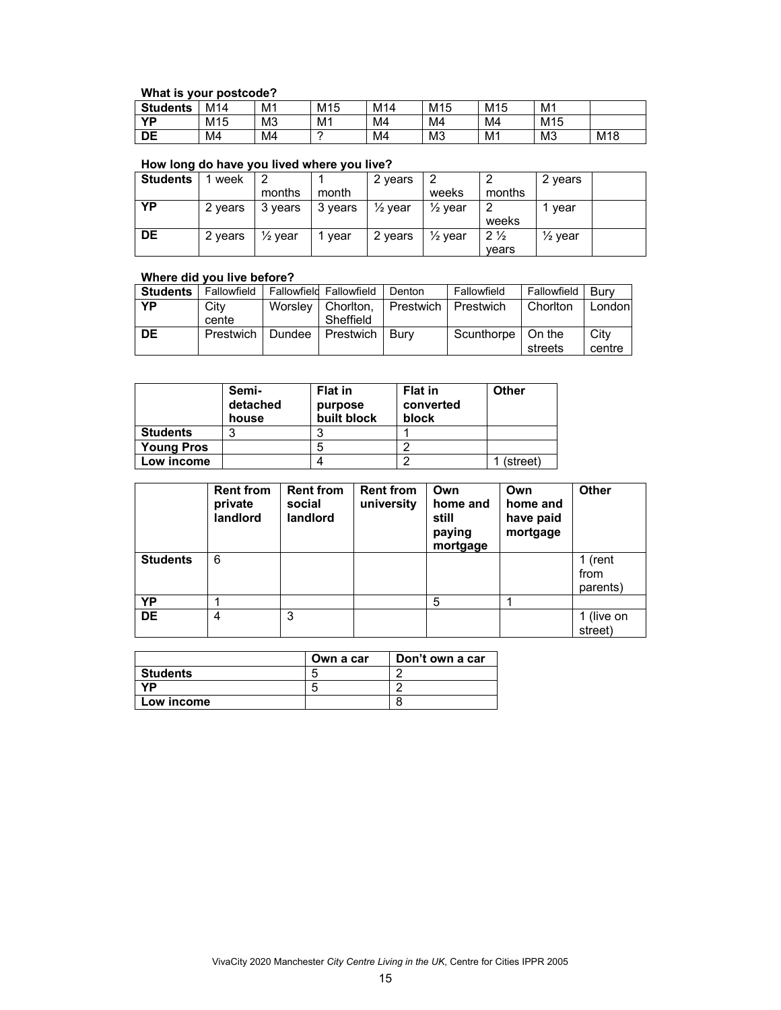## **What is your postcode?**

| .               | .<br>---------  |                |                 |     |                 |                 |                 |                 |
|-----------------|-----------------|----------------|-----------------|-----|-----------------|-----------------|-----------------|-----------------|
| <b>Students</b> | M14             | M <sub>1</sub> | M <sub>15</sub> | M14 | M <sub>15</sub> | M <sub>15</sub> | M <sub>1</sub>  |                 |
| ΥD              | M <sub>15</sub> | M <sub>3</sub> | M1              | M4  | M4              | M4              | M <sub>15</sub> |                 |
| DE              | M4              | M4             |                 | M4  | M <sub>3</sub>  | M <sub>1</sub>  | M <sub>3</sub>  | M <sub>18</sub> |

## **How long do have you lived where you live?**

| <b>Students</b> | week    |                    |         | 2 years  |                    |                | 2 years            |  |
|-----------------|---------|--------------------|---------|----------|--------------------|----------------|--------------------|--|
|                 |         | months             | month   |          | weeks              | months         |                    |  |
| ΥP              | 2 years | 3 years            | 3 years | 1⁄2 vear | $\frac{1}{2}$ year |                | vear               |  |
|                 |         |                    |         |          |                    | weeks          |                    |  |
| <b>DE</b>       | 2 years | $\frac{1}{2}$ vear | vear    | 2 years  | $\frac{1}{2}$ year | $2\frac{1}{2}$ | $\frac{1}{2}$ year |  |
|                 |         |                    |         |          |                    | vears          |                    |  |

## **Where did you live before?**

| <b>Students</b> | Fallowfield |         | Fallowfield Fallowfield | Denton    | Fallowfield | Fallowfield | Burv   |
|-----------------|-------------|---------|-------------------------|-----------|-------------|-------------|--------|
| ΥP              | City        | Worsley | Choriton.               | Prestwich | Prestwich   | Chorlton    | London |
|                 | cente       |         | Sheffield               |           |             |             |        |
| DE              | Prestwich   | Dundee  | Prestwich               | Burv      | Scunthorpe  | On the      | City   |
|                 |             |         |                         |           |             | streets     | centre |

|                   | Semi-<br>detached<br>house | <b>Flat in</b><br>purpose<br>built block | <b>Flat in</b><br>converted<br>block | Other    |
|-------------------|----------------------------|------------------------------------------|--------------------------------------|----------|
| <b>Students</b>   |                            |                                          |                                      |          |
| <b>Young Pros</b> |                            |                                          |                                      |          |
| Low income        |                            |                                          |                                      | (street) |

|                 | <b>Rent from</b><br>private<br>landlord | <b>Rent from</b><br>social<br>landlord | <b>Rent from</b><br>university | Own<br>home and<br>still<br>paying<br>mortgage | Own<br>home and<br>have paid<br>mortgage | <b>Other</b>                |
|-----------------|-----------------------------------------|----------------------------------------|--------------------------------|------------------------------------------------|------------------------------------------|-----------------------------|
| <b>Students</b> | 6                                       |                                        |                                |                                                |                                          | 1 (rent<br>from<br>parents) |
| YP              |                                         |                                        |                                | 5                                              |                                          |                             |
| <b>DE</b>       | 4                                       | 3                                      |                                |                                                |                                          | 1 (live on<br>street)       |

|            | Own a car | Don't own a car |
|------------|-----------|-----------------|
| Students   | ∽         |                 |
| VD         | ∽         |                 |
| Low income |           |                 |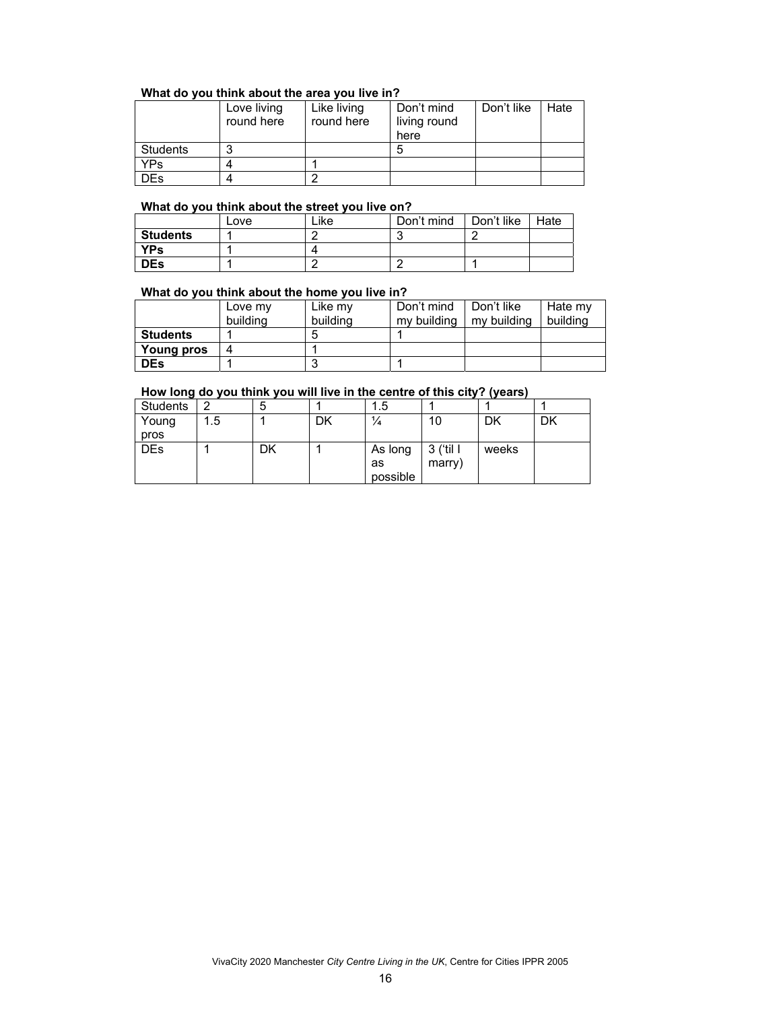## **What do you think about the area you live in?**

|          | Love living<br>round here | Like living<br>round here | Don't mind<br>living round<br>here | Don't like | Hate |
|----------|---------------------------|---------------------------|------------------------------------|------------|------|
| Students |                           |                           |                                    |            |      |
| YPs.     |                           |                           |                                    |            |      |
| )Es      |                           |                           |                                    |            |      |

## **What do you think about the street you live on?**

|                 | Love | ∟ike⊹ | Don't mind | Don't like | Hate |
|-----------------|------|-------|------------|------------|------|
| <b>Students</b> |      |       |            |            |      |
| YPs             |      |       |            |            |      |
| <b>DEs</b>      |      |       |            |            |      |

### **What do you think about the home you live in?**

|                   | Love my  | Like mv  | Don't mind  | Don't like  | Hate my  |
|-------------------|----------|----------|-------------|-------------|----------|
|                   | building | building | my building | my building | building |
| <b>Students</b>   |          |          |             |             |          |
| <b>Young pros</b> |          |          |             |             |          |
| <b>DEs</b>        |          |          |             |             |          |

## **How long do you think you will live in the centre of this city? (years)**

| Students   | ົ  | э  |    | 5. ا     |           |       |    |
|------------|----|----|----|----------|-----------|-------|----|
| Young      | .5 |    | DK | ¼        | 10        | DK    | DK |
| pros       |    |    |    |          |           |       |    |
| <b>DEs</b> |    | DK |    | As long  | 3 ('til I | weeks |    |
|            |    |    |    | as       | marry)    |       |    |
|            |    |    |    | possible |           |       |    |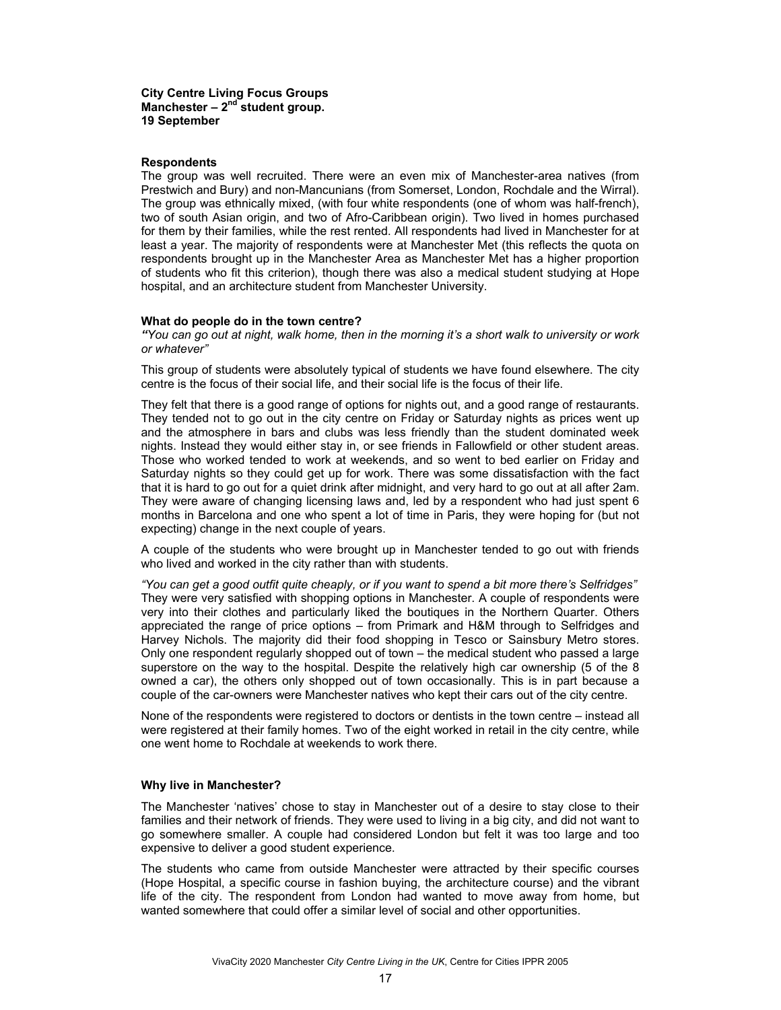#### **Respondents**

The group was well recruited. There were an even mix of Manchester-area natives (from Prestwich and Bury) and non-Mancunians (from Somerset, London, Rochdale and the Wirral). The group was ethnically mixed, (with four white respondents (one of whom was half-french), two of south Asian origin, and two of Afro-Caribbean origin). Two lived in homes purchased for them by their families, while the rest rented. All respondents had lived in Manchester for at least a year. The majority of respondents were at Manchester Met (this reflects the quota on respondents brought up in the Manchester Area as Manchester Met has a higher proportion of students who fit this criterion), though there was also a medical student studying at Hope hospital, and an architecture student from Manchester University.

#### **What do people do in the town centre?**

*"You can go out at night, walk home, then in the morning it's a short walk to university or work or whatever"* 

This group of students were absolutely typical of students we have found elsewhere. The city centre is the focus of their social life, and their social life is the focus of their life.

They felt that there is a good range of options for nights out, and a good range of restaurants. They tended not to go out in the city centre on Friday or Saturday nights as prices went up and the atmosphere in bars and clubs was less friendly than the student dominated week nights. Instead they would either stay in, or see friends in Fallowfield or other student areas. Those who worked tended to work at weekends, and so went to bed earlier on Friday and Saturday nights so they could get up for work. There was some dissatisfaction with the fact that it is hard to go out for a quiet drink after midnight, and very hard to go out at all after 2am. They were aware of changing licensing laws and, led by a respondent who had just spent 6 months in Barcelona and one who spent a lot of time in Paris, they were hoping for (but not expecting) change in the next couple of years.

A couple of the students who were brought up in Manchester tended to go out with friends who lived and worked in the city rather than with students.

*"You can get a good outfit quite cheaply, or if you want to spend a bit more there's Selfridges"*  They were very satisfied with shopping options in Manchester. A couple of respondents were very into their clothes and particularly liked the boutiques in the Northern Quarter. Others appreciated the range of price options – from Primark and H&M through to Selfridges and Harvey Nichols. The majority did their food shopping in Tesco or Sainsbury Metro stores. Only one respondent regularly shopped out of town – the medical student who passed a large superstore on the way to the hospital. Despite the relatively high car ownership (5 of the 8 owned a car), the others only shopped out of town occasionally. This is in part because a couple of the car-owners were Manchester natives who kept their cars out of the city centre.

None of the respondents were registered to doctors or dentists in the town centre – instead all were registered at their family homes. Two of the eight worked in retail in the city centre, while one went home to Rochdale at weekends to work there.

#### **Why live in Manchester?**

The Manchester 'natives' chose to stay in Manchester out of a desire to stay close to their families and their network of friends. They were used to living in a big city, and did not want to go somewhere smaller. A couple had considered London but felt it was too large and too expensive to deliver a good student experience.

The students who came from outside Manchester were attracted by their specific courses (Hope Hospital, a specific course in fashion buying, the architecture course) and the vibrant life of the city. The respondent from London had wanted to move away from home, but wanted somewhere that could offer a similar level of social and other opportunities.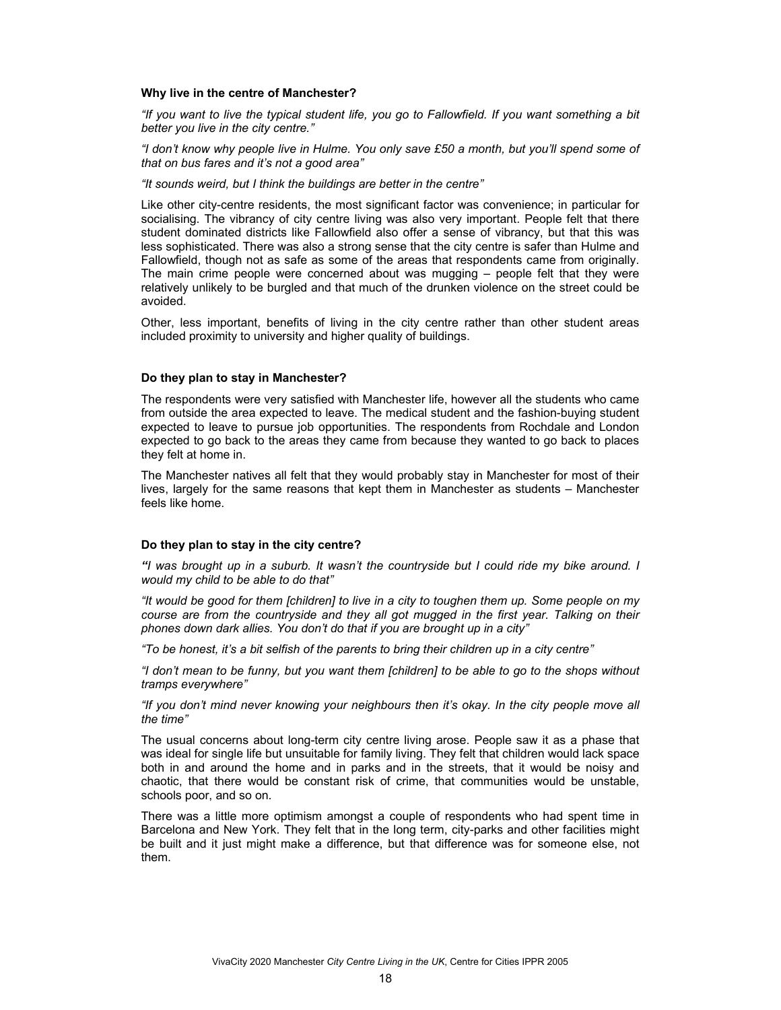#### **Why live in the centre of Manchester?**

*"If you want to live the typical student life, you go to Fallowfield. If you want something a bit better you live in the city centre."* 

*"I don't know why people live in Hulme. You only save £50 a month, but you'll spend some of that on bus fares and it's not a good area"* 

*"It sounds weird, but I think the buildings are better in the centre"* 

Like other city-centre residents, the most significant factor was convenience; in particular for socialising. The vibrancy of city centre living was also very important. People felt that there student dominated districts like Fallowfield also offer a sense of vibrancy, but that this was less sophisticated. There was also a strong sense that the city centre is safer than Hulme and Fallowfield, though not as safe as some of the areas that respondents came from originally. The main crime people were concerned about was mugging – people felt that they were relatively unlikely to be burgled and that much of the drunken violence on the street could be avoided.

Other, less important, benefits of living in the city centre rather than other student areas included proximity to university and higher quality of buildings.

#### **Do they plan to stay in Manchester?**

The respondents were very satisfied with Manchester life, however all the students who came from outside the area expected to leave. The medical student and the fashion-buying student expected to leave to pursue job opportunities. The respondents from Rochdale and London expected to go back to the areas they came from because they wanted to go back to places they felt at home in.

The Manchester natives all felt that they would probably stay in Manchester for most of their lives, largely for the same reasons that kept them in Manchester as students – Manchester feels like home.

#### **Do they plan to stay in the city centre?**

*"I was brought up in a suburb. It wasn't the countryside but I could ride my bike around. I would my child to be able to do that"* 

*"It would be good for them [children] to live in a city to toughen them up. Some people on my course are from the countryside and they all got mugged in the first year. Talking on their phones down dark allies. You don't do that if you are brought up in a city"* 

*"To be honest, it's a bit selfish of the parents to bring their children up in a city centre"* 

*"I don't mean to be funny, but you want them [children] to be able to go to the shops without tramps everywhere"* 

*"If you don't mind never knowing your neighbours then it's okay. In the city people move all the time"* 

The usual concerns about long-term city centre living arose. People saw it as a phase that was ideal for single life but unsuitable for family living. They felt that children would lack space both in and around the home and in parks and in the streets, that it would be noisy and chaotic, that there would be constant risk of crime, that communities would be unstable, schools poor, and so on.

There was a little more optimism amongst a couple of respondents who had spent time in Barcelona and New York. They felt that in the long term, city-parks and other facilities might be built and it just might make a difference, but that difference was for someone else, not them.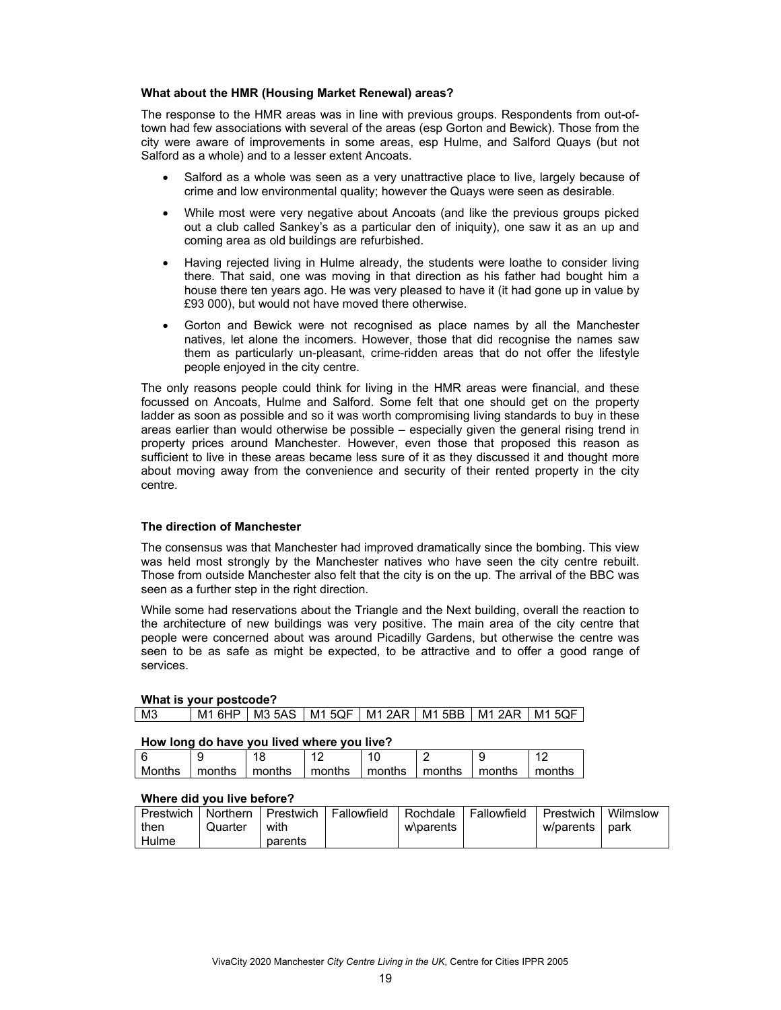### **What about the HMR (Housing Market Renewal) areas?**

The response to the HMR areas was in line with previous groups. Respondents from out-oftown had few associations with several of the areas (esp Gorton and Bewick). Those from the city were aware of improvements in some areas, esp Hulme, and Salford Quays (but not Salford as a whole) and to a lesser extent Ancoats.

- Salford as a whole was seen as a very unattractive place to live, largely because of crime and low environmental quality; however the Quays were seen as desirable.
- While most were very negative about Ancoats (and like the previous groups picked out a club called Sankey's as a particular den of iniquity), one saw it as an up and coming area as old buildings are refurbished.
- Having rejected living in Hulme already, the students were loathe to consider living there. That said, one was moving in that direction as his father had bought him a house there ten years ago. He was very pleased to have it (it had gone up in value by £93 000), but would not have moved there otherwise.
- Gorton and Bewick were not recognised as place names by all the Manchester natives, let alone the incomers. However, those that did recognise the names saw them as particularly un-pleasant, crime-ridden areas that do not offer the lifestyle people enjoyed in the city centre.

The only reasons people could think for living in the HMR areas were financial, and these focussed on Ancoats, Hulme and Salford. Some felt that one should get on the property ladder as soon as possible and so it was worth compromising living standards to buy in these areas earlier than would otherwise be possible – especially given the general rising trend in property prices around Manchester. However, even those that proposed this reason as sufficient to live in these areas became less sure of it as they discussed it and thought more about moving away from the convenience and security of their rented property in the city centre.

## **The direction of Manchester**

The consensus was that Manchester had improved dramatically since the bombing. This view was held most strongly by the Manchester natives who have seen the city centre rebuilt. Those from outside Manchester also felt that the city is on the up. The arrival of the BBC was seen as a further step in the right direction.

While some had reservations about the Triangle and the Next building, overall the reaction to the architecture of new buildings was very positive. The main area of the city centre that people were concerned about was around Picadilly Gardens, but otherwise the centre was seen to be as safe as might be expected, to be attractive and to offer a good range of services.

### **What is your postcode?**  M3 | M1 6HP | M3 5AS | M1 5QF | M1 2AR | M1 5BB | M1 2AR | M1 5QF

#### **How long do have you lived where you live?**

| Months | months | months | months | months | months | months | months |
|--------|--------|--------|--------|--------|--------|--------|--------|

## **Where did you live before?**

| Prestwich I | Northern I |         | Prestwich   Fallowfield | I Rochdale | Fallowfield | Prestwich I | Wilmslow |
|-------------|------------|---------|-------------------------|------------|-------------|-------------|----------|
| then        | Quarter    | with    |                         | w\parents  |             | w/parents l | park     |
| Hulme       |            | parents |                         |            |             |             |          |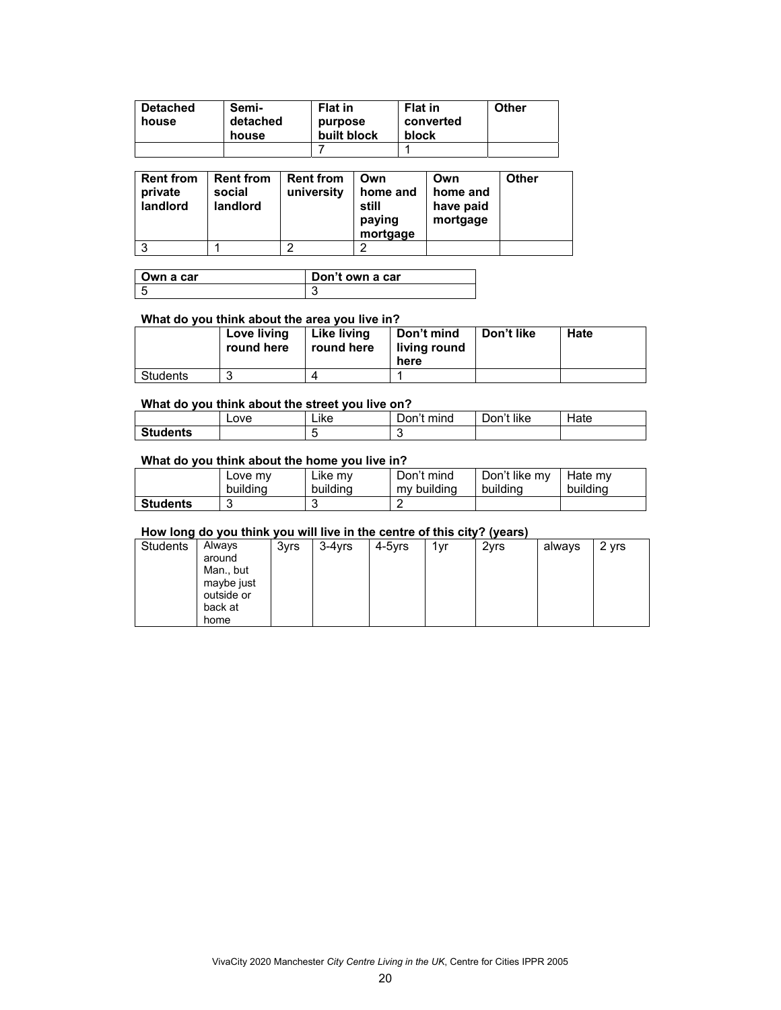| <b>Detached</b> | Semi-             | <b>Flat in</b>         | <b>Flat in</b>     | Other |
|-----------------|-------------------|------------------------|--------------------|-------|
| house           | detached<br>house | purpose<br>built block | converted<br>block |       |
|                 |                   |                        |                    |       |

| <b>Rent from</b><br>private<br>landlord | <b>Rent from</b><br>social<br>landlord | <b>Rent from</b><br>university | Own<br>home and<br>still<br>paying<br>mortgage | Own<br>home and<br>have paid<br>mortgage | <b>Other</b> |
|-----------------------------------------|----------------------------------------|--------------------------------|------------------------------------------------|------------------------------------------|--------------|
|                                         |                                        | ◠                              |                                                |                                          |              |

| Own a car | Don't own a car |
|-----------|-----------------|
|           | ື               |

## **What do you think about the area you live in?**

|          | Love living<br>round here | Like living<br>round here | Don't mind<br>living round<br>here | Don't like | Hate |
|----------|---------------------------|---------------------------|------------------------------------|------------|------|
| Students |                           |                           |                                    |            |      |

## **What do you think about the street you live on?**

|                 | Love | <br>Like | mind<br>_)on't | Don't like | Hate |
|-----------------|------|----------|----------------|------------|------|
| <b>Students</b> |      |          |                |            |      |

### **What do you think about the home you live in?**

|                 | Love my  | ∟ike mv  | Don't mind  | Don't like my | Hate mv  |
|-----------------|----------|----------|-------------|---------------|----------|
|                 | building | building | my building | building      | building |
| <b>Students</b> |          |          |             |               |          |

## **How long do you think you will live in the centre of this city? (years)**

|                 |                                             |      |           |        |     | $\cdot$ |        |       |
|-----------------|---------------------------------------------|------|-----------|--------|-----|---------|--------|-------|
| . .<br>Students | Always<br>around<br>Man., but<br>maybe just | 3yrs | $3-4$ vrs | 4-5yrs | 1vr | 2yrs    | always | 2 yrs |
|                 | outside or<br>back at<br>home               |      |           |        |     |         |        |       |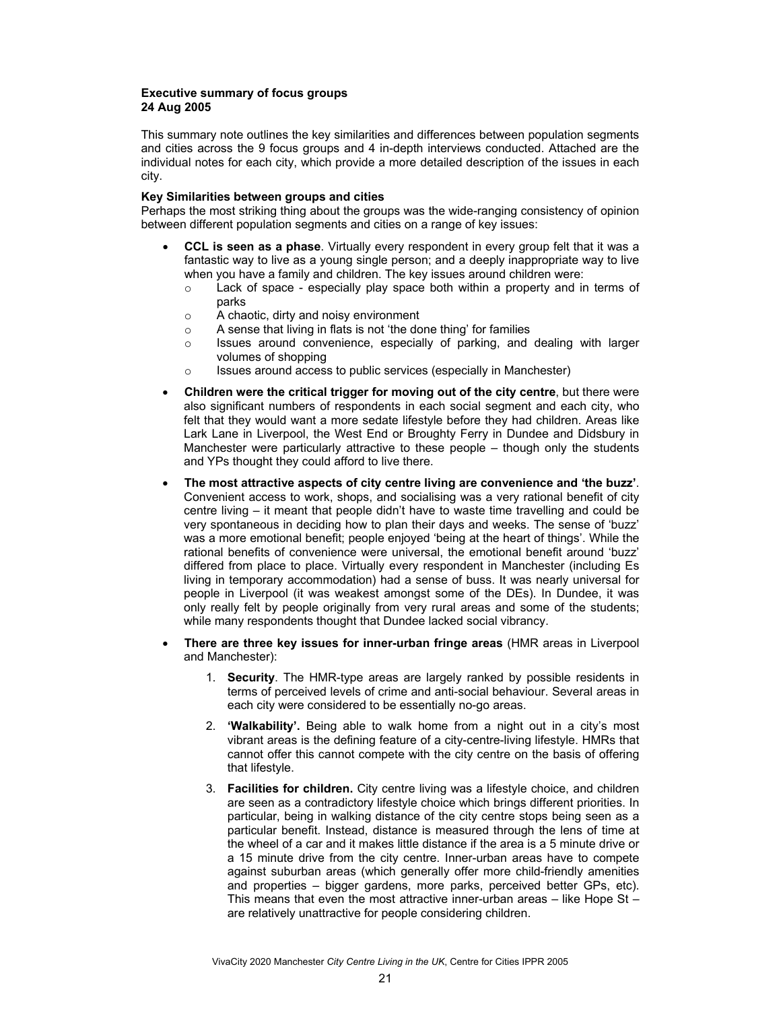## **Executive summary of focus groups 24 Aug 2005**

This summary note outlines the key similarities and differences between population segments and cities across the 9 focus groups and 4 in-depth interviews conducted. Attached are the individual notes for each city, which provide a more detailed description of the issues in each city.

## **Key Similarities between groups and cities**

Perhaps the most striking thing about the groups was the wide-ranging consistency of opinion between different population segments and cities on a range of key issues:

- **CCL is seen as a phase**. Virtually every respondent in every group felt that it was a fantastic way to live as a young single person; and a deeply inappropriate way to live when you have a family and children. The key issues around children were:
	- o Lack of space especially play space both within a property and in terms of parks
	- o A chaotic, dirty and noisy environment
	- o A sense that living in flats is not 'the done thing' for families
	- $\circ$  Issues around convenience, especially of parking, and dealing with larger volumes of shopping
	- o Issues around access to public services (especially in Manchester)
- **Children were the critical trigger for moving out of the city centre**, but there were also significant numbers of respondents in each social segment and each city, who felt that they would want a more sedate lifestyle before they had children. Areas like Lark Lane in Liverpool, the West End or Broughty Ferry in Dundee and Didsbury in Manchester were particularly attractive to these people – though only the students and YPs thought they could afford to live there.
- **The most attractive aspects of city centre living are convenience and 'the buzz'**. Convenient access to work, shops, and socialising was a very rational benefit of city centre living – it meant that people didn't have to waste time travelling and could be very spontaneous in deciding how to plan their days and weeks. The sense of 'buzz' was a more emotional benefit; people enjoyed 'being at the heart of things'. While the rational benefits of convenience were universal, the emotional benefit around 'buzz' differed from place to place. Virtually every respondent in Manchester (including Es living in temporary accommodation) had a sense of buss. It was nearly universal for people in Liverpool (it was weakest amongst some of the DEs). In Dundee, it was only really felt by people originally from very rural areas and some of the students; while many respondents thought that Dundee lacked social vibrancy.
- **There are three key issues for inner-urban fringe areas** (HMR areas in Liverpool and Manchester):
	- 1. **Security**. The HMR-type areas are largely ranked by possible residents in terms of perceived levels of crime and anti-social behaviour. Several areas in each city were considered to be essentially no-go areas.
	- 2. **'Walkability'.** Being able to walk home from a night out in a city's most vibrant areas is the defining feature of a city-centre-living lifestyle. HMRs that cannot offer this cannot compete with the city centre on the basis of offering that lifestyle.
	- 3. **Facilities for children.** City centre living was a lifestyle choice, and children are seen as a contradictory lifestyle choice which brings different priorities. In particular, being in walking distance of the city centre stops being seen as a particular benefit. Instead, distance is measured through the lens of time at the wheel of a car and it makes little distance if the area is a 5 minute drive or a 15 minute drive from the city centre. Inner-urban areas have to compete against suburban areas (which generally offer more child-friendly amenities and properties – bigger gardens, more parks, perceived better GPs, etc). This means that even the most attractive inner-urban areas – like Hope St – are relatively unattractive for people considering children.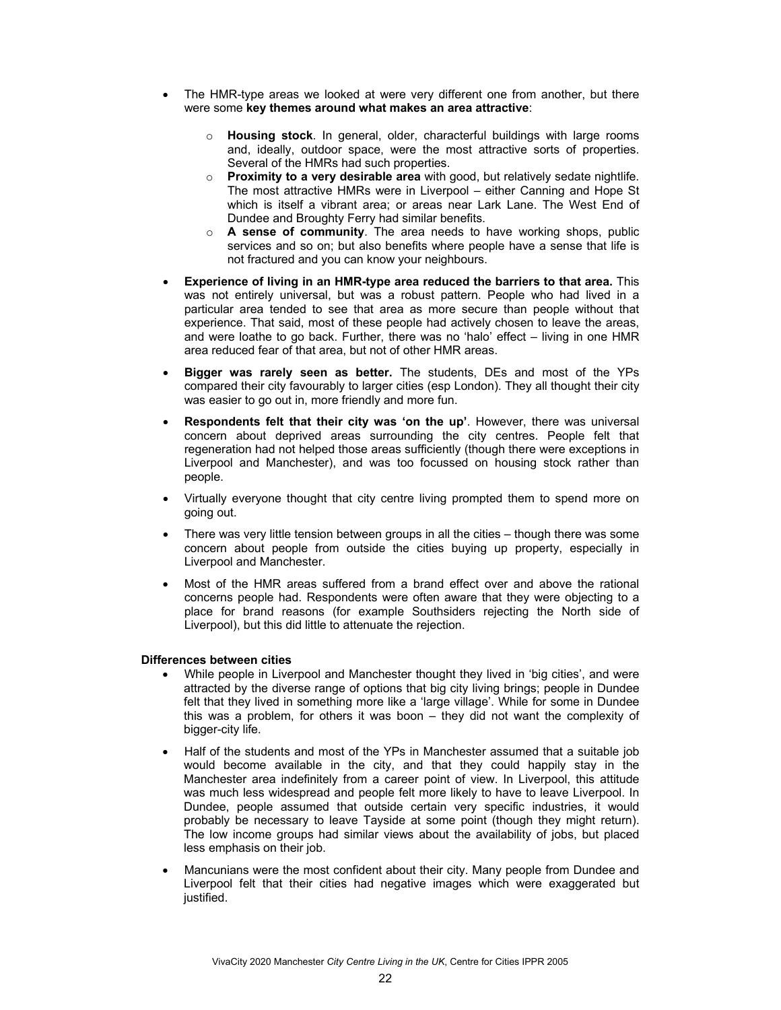- The HMR-type areas we looked at were very different one from another, but there were some **key themes around what makes an area attractive**:
	- o **Housing stock**. In general, older, characterful buildings with large rooms and, ideally, outdoor space, were the most attractive sorts of properties. Several of the HMRs had such properties.
	- o **Proximity to a very desirable area** with good, but relatively sedate nightlife. The most attractive HMRs were in Liverpool – either Canning and Hope St which is itself a vibrant area; or areas near Lark Lane. The West End of Dundee and Broughty Ferry had similar benefits.
	- o **A sense of community**. The area needs to have working shops, public services and so on; but also benefits where people have a sense that life is not fractured and you can know your neighbours.
- **Experience of living in an HMR-type area reduced the barriers to that area.** This was not entirely universal, but was a robust pattern. People who had lived in a particular area tended to see that area as more secure than people without that experience. That said, most of these people had actively chosen to leave the areas, and were loathe to go back. Further, there was no 'halo' effect – living in one HMR area reduced fear of that area, but not of other HMR areas.
- **Bigger was rarely seen as better.** The students, DEs and most of the YPs compared their city favourably to larger cities (esp London). They all thought their city was easier to go out in, more friendly and more fun.
- **Respondents felt that their city was 'on the up'**. However, there was universal concern about deprived areas surrounding the city centres. People felt that regeneration had not helped those areas sufficiently (though there were exceptions in Liverpool and Manchester), and was too focussed on housing stock rather than people.
- Virtually everyone thought that city centre living prompted them to spend more on going out.
- There was very little tension between groups in all the cities  $-$  though there was some concern about people from outside the cities buying up property, especially in Liverpool and Manchester.
- Most of the HMR areas suffered from a brand effect over and above the rational concerns people had. Respondents were often aware that they were objecting to a place for brand reasons (for example Southsiders rejecting the North side of Liverpool), but this did little to attenuate the rejection.

## **Differences between cities**

- While people in Liverpool and Manchester thought they lived in 'big cities', and were attracted by the diverse range of options that big city living brings; people in Dundee felt that they lived in something more like a 'large village'. While for some in Dundee this was a problem, for others it was boon – they did not want the complexity of bigger-city life.
- Half of the students and most of the YPs in Manchester assumed that a suitable job would become available in the city, and that they could happily stay in the Manchester area indefinitely from a career point of view. In Liverpool, this attitude was much less widespread and people felt more likely to have to leave Liverpool. In Dundee, people assumed that outside certain very specific industries, it would probably be necessary to leave Tayside at some point (though they might return). The low income groups had similar views about the availability of jobs, but placed less emphasis on their job.
- Mancunians were the most confident about their city. Many people from Dundee and Liverpool felt that their cities had negative images which were exaggerated but justified.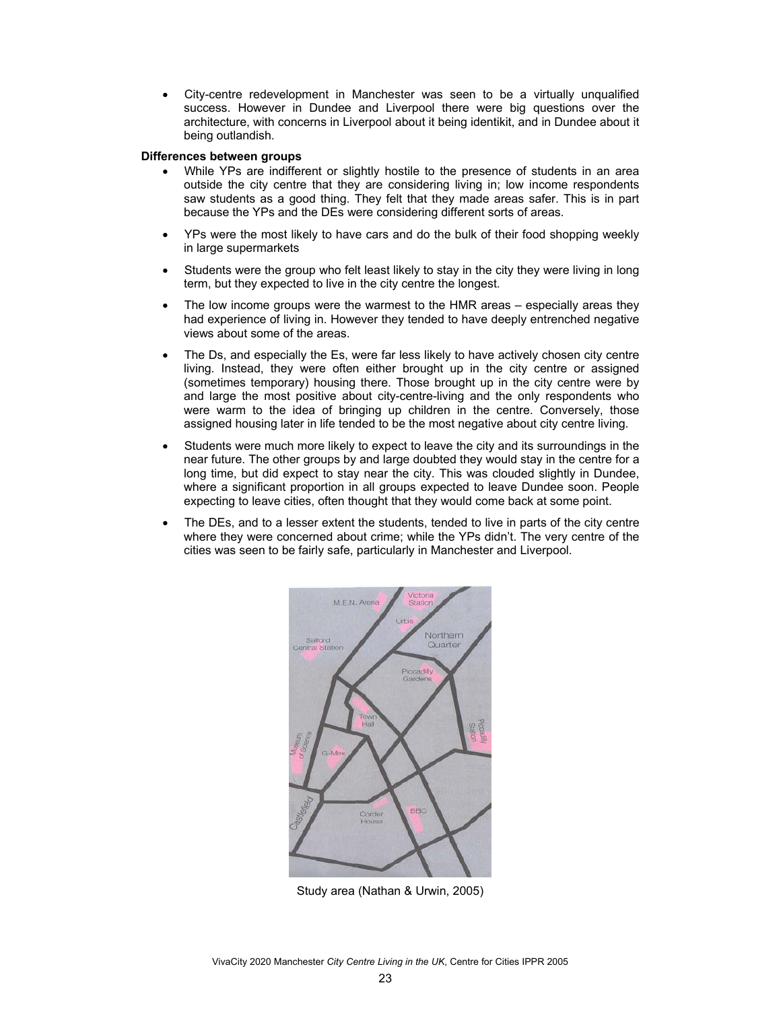• City-centre redevelopment in Manchester was seen to be a virtually unqualified success. However in Dundee and Liverpool there were big questions over the architecture, with concerns in Liverpool about it being identikit, and in Dundee about it being outlandish.

### **Differences between groups**

- While YPs are indifferent or slightly hostile to the presence of students in an area outside the city centre that they are considering living in; low income respondents saw students as a good thing. They felt that they made areas safer. This is in part because the YPs and the DEs were considering different sorts of areas.
- YPs were the most likely to have cars and do the bulk of their food shopping weekly in large supermarkets
- Students were the group who felt least likely to stay in the city they were living in long term, but they expected to live in the city centre the longest.
- The low income groups were the warmest to the HMR areas especially areas they had experience of living in. However they tended to have deeply entrenched negative views about some of the areas.
- The Ds, and especially the Es, were far less likely to have actively chosen city centre living. Instead, they were often either brought up in the city centre or assigned (sometimes temporary) housing there. Those brought up in the city centre were by and large the most positive about city-centre-living and the only respondents who were warm to the idea of bringing up children in the centre. Conversely, those assigned housing later in life tended to be the most negative about city centre living.
- Students were much more likely to expect to leave the city and its surroundings in the near future. The other groups by and large doubted they would stay in the centre for a long time, but did expect to stay near the city. This was clouded slightly in Dundee, where a significant proportion in all groups expected to leave Dundee soon. People expecting to leave cities, often thought that they would come back at some point.
- The DEs, and to a lesser extent the students, tended to live in parts of the city centre where they were concerned about crime; while the YPs didn't. The very centre of the cities was seen to be fairly safe, particularly in Manchester and Liverpool.



Study area (Nathan & Urwin, 2005)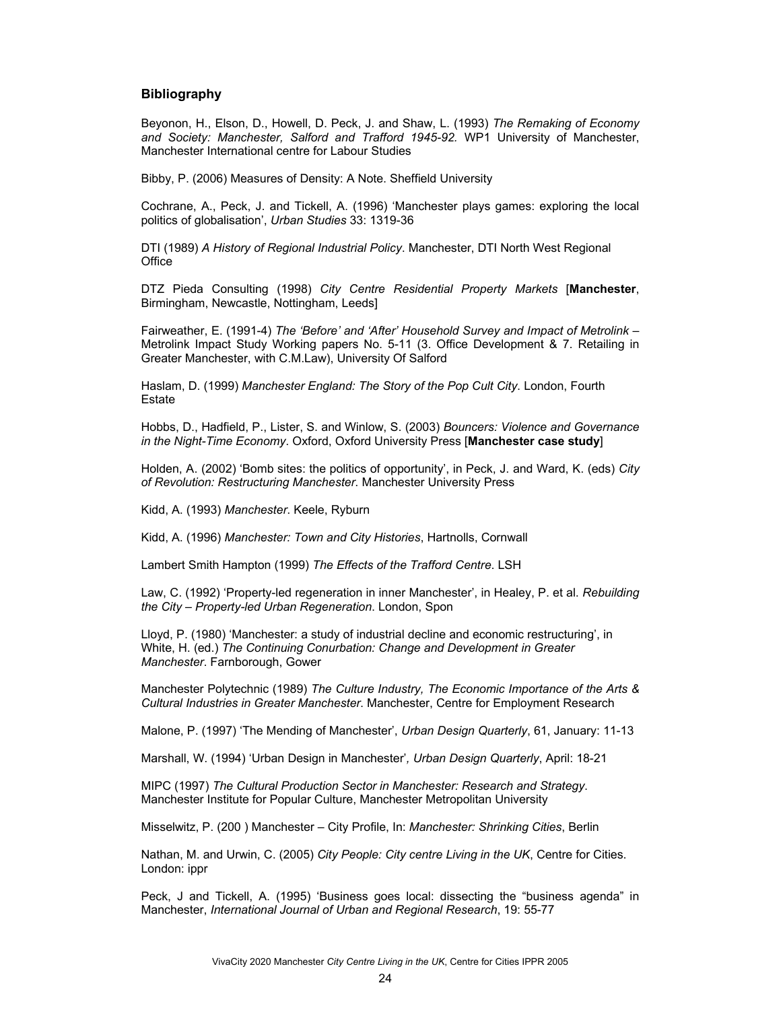## **Bibliography**

Beyonon, H., Elson, D., Howell, D. Peck, J. and Shaw, L. (1993) *The Remaking of Economy and Society: Manchester, Salford and Trafford 1945-92.* WP1 University of Manchester, Manchester International centre for Labour Studies

Bibby, P. (2006) Measures of Density: A Note. Sheffield University

Cochrane, A., Peck, J. and Tickell, A. (1996) 'Manchester plays games: exploring the local politics of globalisation', *Urban Studies* 33: 1319-36

DTI (1989) *A History of Regional Industrial Policy*. Manchester, DTI North West Regional **Office** 

DTZ Pieda Consulting (1998) *City Centre Residential Property Markets* [**Manchester**, Birmingham, Newcastle, Nottingham, Leeds]

Fairweather, E. (1991-4) *The 'Before' and 'After' Household Survey and Impact of Metrolink* – Metrolink Impact Study Working papers No. 5-11 (3. Office Development & 7. Retailing in Greater Manchester, with C.M.Law), University Of Salford

Haslam, D. (1999) *Manchester England: The Story of the Pop Cult City*. London, Fourth Estate

Hobbs, D., Hadfield, P., Lister, S. and Winlow, S. (2003) *Bouncers: Violence and Governance in the Night-Time Economy*. Oxford, Oxford University Press [**Manchester case study**]

Holden, A. (2002) 'Bomb sites: the politics of opportunity', in Peck, J. and Ward, K. (eds) *City of Revolution: Restructuring Manchester*. Manchester University Press

Kidd, A. (1993) *Manchester*. Keele, Ryburn

Kidd, A. (1996) *Manchester: Town and City Histories*, Hartnolls, Cornwall

Lambert Smith Hampton (1999) *The Effects of the Trafford Centre*. LSH

Law, C. (1992) 'Property-led regeneration in inner Manchester', in Healey, P. et al. *Rebuilding the City – Property-led Urban Regeneration*. London, Spon

Lloyd, P. (1980) 'Manchester: a study of industrial decline and economic restructuring', in White, H. (ed.) *The Continuing Conurbation: Change and Development in Greater Manchester*. Farnborough, Gower

Manchester Polytechnic (1989) *The Culture Industry, The Economic Importance of the Arts & Cultural Industries in Greater Manchester*. Manchester, Centre for Employment Research

Malone, P. (1997) 'The Mending of Manchester', *Urban Design Quarterly*, 61, January: 11-13

Marshall, W. (1994) 'Urban Design in Manchester'*, Urban Design Quarterly*, April: 18-21

MIPC (1997) *The Cultural Production Sector in Manchester: Research and Strategy*. Manchester Institute for Popular Culture, Manchester Metropolitan University

Misselwitz, P. (200 ) Manchester – City Profile, In: *Manchester: Shrinking Cities*, Berlin

Nathan, M. and Urwin, C. (2005) *City People: City centre Living in the UK*, Centre for Cities. London: ippr

Peck, J and Tickell, A. (1995) 'Business goes local: dissecting the "business agenda" in Manchester, *International Journal of Urban and Regional Research*, 19: 55-77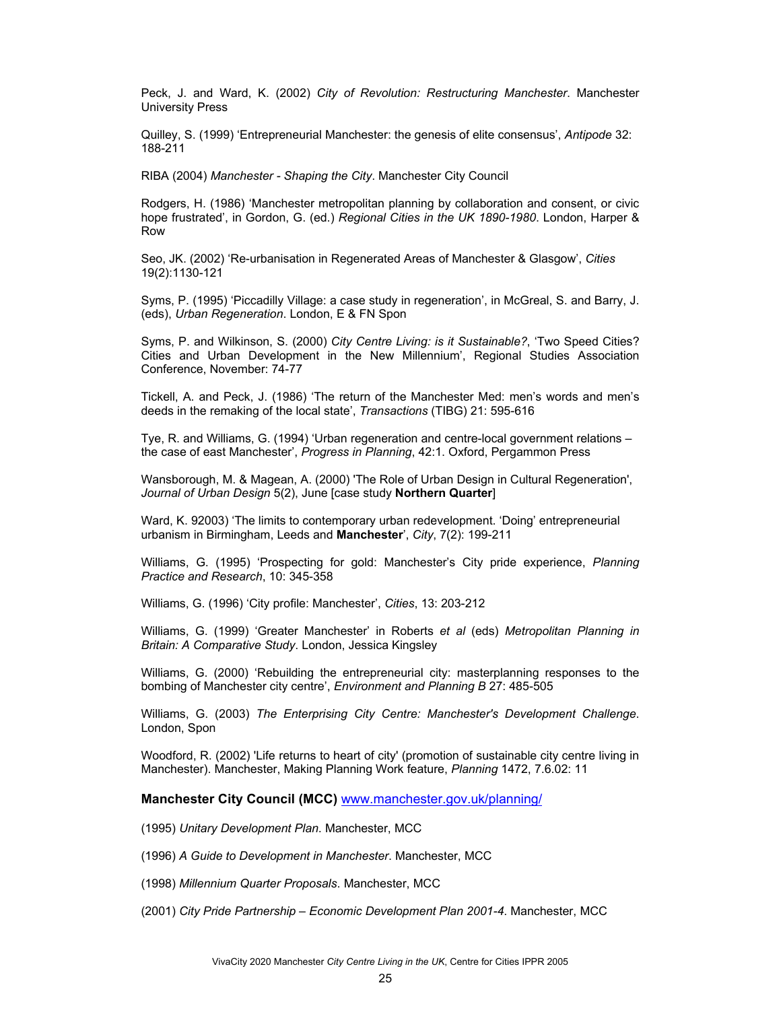Peck, J. and Ward, K. (2002) *City of Revolution: Restructuring Manchester*. Manchester University Press

Quilley, S. (1999) 'Entrepreneurial Manchester: the genesis of elite consensus', *Antipode* 32: 188-211

RIBA (2004) *Manchester - Shaping the City*. Manchester City Council

Rodgers, H. (1986) 'Manchester metropolitan planning by collaboration and consent, or civic hope frustrated', in Gordon, G. (ed.) *Regional Cities in the UK 1890-1980*. London, Harper & Row

Seo, JK. (2002) 'Re-urbanisation in Regenerated Areas of Manchester & Glasgow', *Cities* 19(2):1130-121

Syms, P. (1995) 'Piccadilly Village: a case study in regeneration', in McGreal, S. and Barry, J. (eds), *Urban Regeneration*. London, E & FN Spon

Syms, P. and Wilkinson, S. (2000) *City Centre Living: is it Sustainable?*, 'Two Speed Cities? Cities and Urban Development in the New Millennium', Regional Studies Association Conference, November: 74-77

Tickell, A. and Peck, J. (1986) 'The return of the Manchester Med: men's words and men's deeds in the remaking of the local state', *Transactions* (TIBG) 21: 595-616

Tye, R. and Williams, G. (1994) 'Urban regeneration and centre-local government relations – the case of east Manchester', *Progress in Planning*, 42:1. Oxford, Pergammon Press

Wansborough, M. & Magean, A. (2000) 'The Role of Urban Design in Cultural Regeneration', *Journal of Urban Design* 5(2), June [case study **Northern Quarter**]

Ward, K. 92003) 'The limits to contemporary urban redevelopment. 'Doing' entrepreneurial urbanism in Birmingham, Leeds and **Manchester**', *City*, 7(2): 199-211

Williams, G. (1995) 'Prospecting for gold: Manchester's City pride experience, *Planning Practice and Research*, 10: 345-358

Williams, G. (1996) 'City profile: Manchester', *Cities*, 13: 203-212

Williams, G. (1999) 'Greater Manchester' in Roberts *et al* (eds) *Metropolitan Planning in Britain: A Comparative Study*. London, Jessica Kingsley

Williams, G. (2000) 'Rebuilding the entrepreneurial city: masterplanning responses to the bombing of Manchester city centre', *Environment and Planning B* 27: 485-505

Williams, G. (2003) *The Enterprising City Centre: Manchester's Development Challenge*. London, Spon

Woodford, R. (2002) 'Life returns to heart of city' (promotion of sustainable city centre living in Manchester). Manchester, Making Planning Work feature, *Planning* 1472, 7.6.02: 11

**Manchester City Council (MCC)** www.manchester.gov.uk/planning/

(1995) *Unitary Development Plan*. Manchester, MCC

(1996) *A Guide to Development in Manchester*. Manchester, MCC

(1998) *Millennium Quarter Proposals*. Manchester, MCC

(2001) *City Pride Partnership – Economic Development Plan 2001-4*. Manchester, MCC